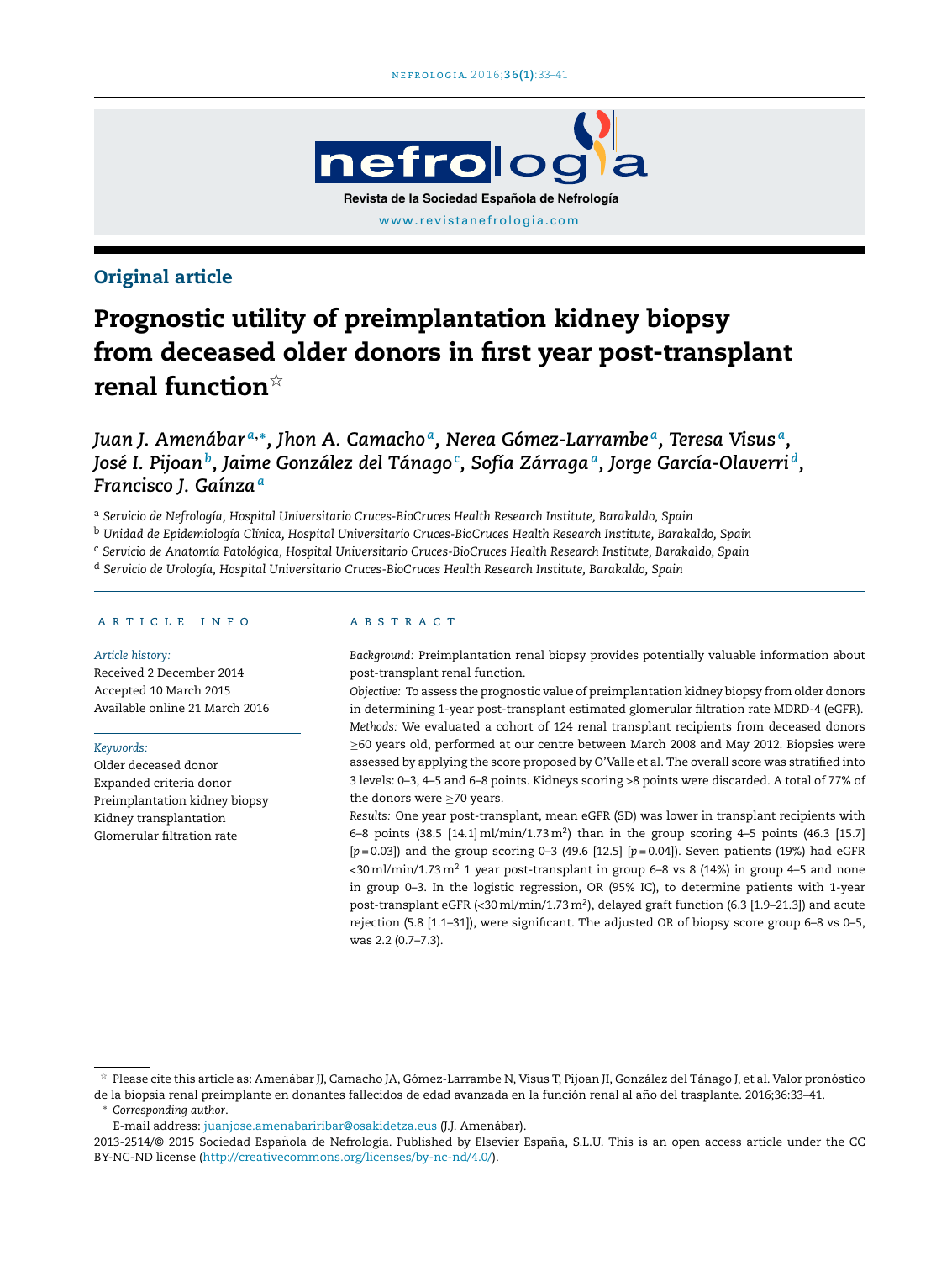

# Original article

# Prognostic utility of preimplantation kidney biopsy from deceased older donors in first year post-transplant renal function ${}^{\dot\uparrow}$

*Juan J. Amenábar <sup>a</sup>*,<sup>∗</sup> *, Jhon A. Camacho <sup>a</sup> , Nerea Gómez-Larrambe <sup>a</sup> , Teresa Visus <sup>a</sup> , José I. Pijoan<sup>b</sup> , Jaime González del Tánago<sup>c</sup> , Sofía Zárraga<sup>a</sup> , Jorge García-Olaverri <sup>d</sup> , Francisco J. Gaínza<sup>a</sup>*

<sup>a</sup> *Servicio de Nefrología, Hospital Universitario Cruces-BioCruces Health Research Institute, Barakaldo, Spain*

<sup>b</sup> *Unidad de Epidemiología Clínica, Hospital Universitario Cruces-BioCruces Health Research Institute, Barakaldo, Spain*

<sup>c</sup> *Servicio de Anatomía Patológica, Hospital Universitario Cruces-BioCruces Health Research Institute, Barakaldo, Spain*

<sup>d</sup> *Servicio de Urología, Hospital Universitario Cruces-BioCruces Health Research Institute, Barakaldo, Spain*

## a r t i c l e i n f o

#### *Article history:*

Received 2 December 2014 Accepted 10 March 2015 Available online 21 March 2016

#### *Keywords:*

Older deceased donor Expanded criteria donor Preimplantation kidney biopsy Kidney transplantation Glomerular filtration rate

### a b s t r a c t

*Background:* Preimplantation renal biopsy provides potentially valuable information about post-transplant renal function.

*Objective:* To assess the prognostic value of preimplantation kidney biopsy from older donors in determining 1-year post-transplant estimated glomerular filtration rate MDRD-4 (eGFR). *Methods:* We evaluated a cohort of 124 renal transplant recipients from deceased donors ≥60 years old, performed at our centre between March 2008 and May 2012. Biopsies were assessed by applying the score proposed by O'Valle et al. The overall score was stratified into 3 levels: 0–3, 4–5 and 6–8 points. Kidneys scoring >8 points were discarded. A total of 77% of the donors were ≥70 years.

*Results:* One year post-transplant, mean eGFR (SD) was lower in transplant recipients with 6–8 points (38.5 [14.1] ml/min/1.73 m<sup>2</sup>) than in the group scoring 4–5 points (46.3 [15.7] [*p* = 0.03]) and the group scoring 0–3 (49.6 [12.5] [*p* = 0.04]). Seven patients (19%) had eGFR <30 ml/min/1.73 m<sup>2</sup> 1 year post-transplant in group 6-8 vs 8 (14%) in group 4-5 and none in group 0–3. In the logistic regression, OR (95% IC), to determine patients with 1-year post-transplant eGFR (<30 ml/min/1.73 m<sup>2</sup>), delayed graft function (6.3 [1.9–21.3]) and acute rejection (5.8 [1.1–31]), were significant. The adjusted OR of biopsy score group 6–8 vs 0–5, was 2.2 (0.7–7.3).

<sup>∗</sup> *Corresponding author*.

<sup>-</sup> Please cite this article as: Amenábar JJ, Camacho JA, Gómez-Larrambe N, Visus T, Pijoan JI, González del Tánago J, et al. Valor pronóstico de la biopsia renal preimplante en donantes fallecidos de edad avanzada en la función renal al año del trasplante. 2016;36:33-41.

E-mail address: [juanjose.amenabariribar@osakidetza.eus](mailto:juanjose.amenabariribar@osakidetza.eus) (J.J. Amenábar).

<sup>2013-2514/@ 2015</sup> Sociedad Española de Nefrología. Published by Elsevier España, S.L.U. This is an open access article under the CC BY-NC-ND license (<http://creativecommons.org/licenses/by-nc-nd/4.0/>).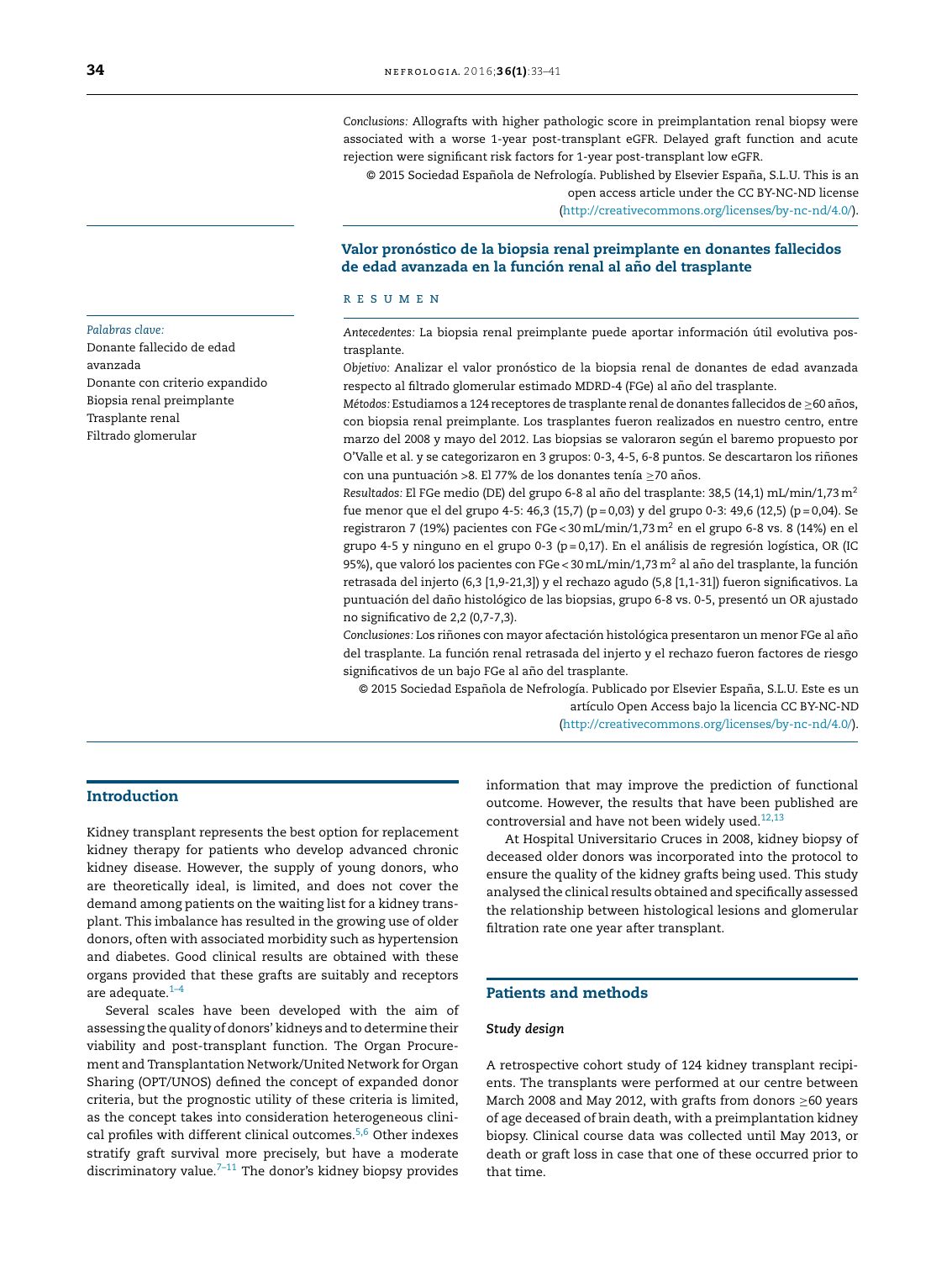*Conclusions:* Allografts with higher pathologic score in preimplantation renal biopsy were associated with a worse 1-year post-transplant eGFR. Delayed graft function and acute rejection were significant risk factors for 1-year post-transplant low eGFR.

© 2015 Sociedad Española de Nefrología. Published by Elsevier España, S.L.U. This is an open access article under the CC BY-NC-ND license ([http://creativecommons.org/licenses/by-nc-nd/4.0/\)](http://creativecommons.org/licenses/by-nc-nd/4.0/).

## Valor pronóstico de la biopsia renal preimplante en donantes fallecidos de edad avanzada en la función renal al año del trasplante

#### r e s u m e n

*Antecedentes:* La biopsia renal preimplante puede aportar información útil evolutiva postrasplante.

*Objetivo:* Analizar el valor pronóstico de la biopsia renal de donantes de edad avanzada respecto al filtrado glomerular estimado MDRD-4 (FGe) al año del trasplante.

*Métodos: Estudiamos a 124 receptores de trasplante renal de donantes fallecidos de ≥60 años*, con biopsia renal preimplante. Los trasplantes fueron realizados en nuestro centro, entre marzo del 2008 y mayo del 2012. Las biopsias se valoraron según el baremo propuesto por O'Valle et al. y se categorizaron en 3 grupos: 0-3, 4-5, 6-8 puntos. Se descartaron los riñones con una puntuación >8. El 77% de los donantes tenía ≥70 años.

Resultados: El FGe medio (DE) del grupo 6-8 al año del trasplante: 38,5 (14,1) mL/min/1,73 m<sup>2</sup> fue menor que el del grupo 4-5: 46,3 (15,7) (p = 0,03) y del grupo 0-3: 49,6 (12,5) (p = 0,04). Se registraron 7 (19%) pacientes con FGe < 30mL/min/1,73m<sup>2</sup> en el grupo 6-8 vs. 8 (14%) en el grupo 4-5 y ninguno en el grupo 0-3 (p = 0,17). En el análisis de regresión logística, OR (IC 95%), que valoró los pacientes con FGe < 30 mL/min/1,73 m<sup>2</sup> al año del trasplante, la función retrasada del injerto (6,3 [1,9-21,3]) y el rechazo agudo (5,8 [1,1-31]) fueron significativos. La puntuación del daño histológico de las biopsias, grupo 6-8 vs. 0-5, presentó un OR ajustado no significativo de 2,2 (0,7-7,3).

Conclusiones: Los riñones con mayor afectación histológica presentaron un menor FGe al año del trasplante. La función renal retrasada del injerto y el rechazo fueron factores de riesgo significativos de un bajo FGe al año del trasplante.

© 2015 Sociedad Espanola ˜ de Nefrología. Publicado por Elsevier España, S.L.U. Este es un artículo Open Access bajo la licencia CC BY-NC-ND ([http://creativecommons.org/licenses/by-nc-nd/4.0/\)](http://creativecommons.org/licenses/by-nc-nd/4.0/).

## Introduction

Kidney transplant represents the best option for replacement kidney therapy for patients who develop advanced chronic kidney disease. However, the supply of young donors, who are theoretically ideal, is limited, and does not cover the demand among patients on the waiting list for a kidney transplant. This imbalance has resulted in the growing use of older donors, often with associated morbidity such as hypertension and diabetes. Good clinical results are obtained with these organs provided that these grafts are suitably and receptors are adequate. $1-4$ 

Several scales have been developed with the aim of assessing the quality of donors' kidneys and to determine their viability and post-transplant function. The Organ Procurement and Transplantation Network/United Network for Organ Sharing (OPT/UNOS) defined the concept of expanded donor criteria, but the prognostic utility of these criteria is limited, as the concept takes into consideration heterogeneous clini-cal profiles with different clinical outcomes.<sup>[5,6](#page-7-0)</sup> Other indexes stratify graft survival more precisely, but have a moderate discriminatory value. $7-11$  The donor's kidney biopsy provides information that may improve the prediction of functional outcome. However, the results that have been published are controversial and have not been widely used.<sup>[12,13](#page-7-0)</sup>

At Hospital Universitario Cruces in 2008, kidney biopsy of deceased older donors was incorporated into the protocol to ensure the quality of the kidney grafts being used. This study analysed the clinical results obtained and specifically assessed the relationship between histological lesions and glomerular filtration rate one year after transplant.

## Patients and methods

#### *Study design*

A retrospective cohort study of 124 kidney transplant recipients. The transplants were performed at our centre between March 2008 and May 2012, with grafts from donors ≥60 years of age deceased of brain death, with a preimplantation kidney biopsy. Clinical course data was collected until May 2013, or death or graft loss in case that one of these occurred prior to that time.

#### *Palabras clave:*

Donante fallecido de edad avanzada Donante con criterio expandido Biopsia renal preimplante Trasplante renal Filtrado glomerular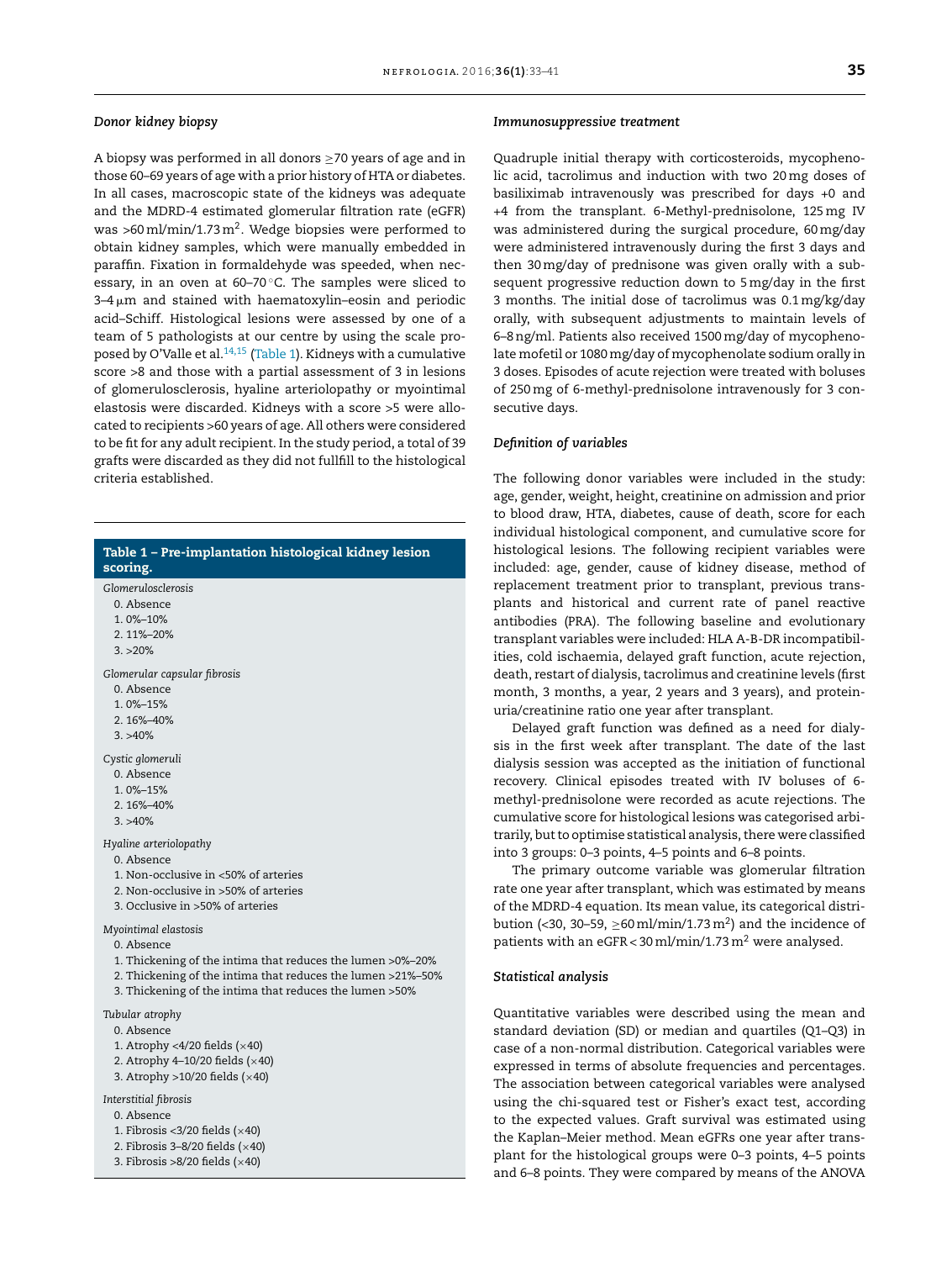#### *Donor kidney biopsy*

A biopsy was performed in all donors ≥70 years of age and in those 60–69 years of age with a prior history of HTA or diabetes. In all cases, macroscopic state of the kidneys was adequate and the MDRD-4 estimated glomerular filtration rate (eGFR) was >60 ml/min/1.73 m $^2$ . Wedge biopsies were performed to obtain kidney samples, which were manually embedded in paraffin. Fixation in formaldehyde was speeded, when necessary, in an oven at  $60-70$  °C. The samples were sliced to  $3\text{--}4\,\upmu\text{m}$  and stained with haematoxylin–eosin and periodic acid–Schiff. Histological lesions were assessed by one of a team of 5 pathologists at our centre by using the scale proposed by O'Valle et al. $14,15$  (Table 1). Kidneys with a cumulative score >8 and those with a partial assessment of 3 in lesions of glomerulosclerosis, hyaline arteriolopathy or myointimal elastosis were discarded. Kidneys with a score >5 were allocated to recipients >60 years of age. All others were considered to be fit for any adult recipient. In the study period, a total of 39 grafts were discarded as they did not fullfill to the histological criteria established.

## Table 1 – Pre-implantation histological kidney lesion scoring. *Glomerulosclerosis*

0. Absence

1. 0%–10%

- 2. 11%–20%
- $3. > 20\%$

*Glomerular capsular fibrosis*

- 0. Absence
- 1. 0%–15%
- 2. 16%–40%
- $3. > 40\%$

*Cystic glomeruli*

- 0. Absence
- 1. 0%–15%
- 2. 16%–40%
- 3. >40%

*Hyaline arteriolopathy*

- 0. Absence
- 1. Non-occlusive in <50% of arteries
- 2. Non-occlusive in >50% of arteries
- 3. Occlusive in >50% of arteries

*Myointimal elastosis*

- 0. Absence
- 1. Thickening of the intima that reduces the lumen >0%–20%
- 2. Thickening of the intima that reduces the lumen >21%–50%
- 3. Thickening of the intima that reduces the lumen >50%

*Tubular atrophy*

0. Absence

- 1. Atrophy <4/20 fields  $(x40)$
- 2. Atrophy 4-10/20 fields  $(x40)$
- 3. Atrophy >10/20 fields (×40)

*Interstitial fibrosis*

0. Absence

- 1. Fibrosis < $3/20$  fields ( $\times 40$ )
- 2. Fibrosis 3–8/20 fields  $(x40)$
- 3. Fibrosis >8/20 fields  $(x40)$

#### *Immunosuppressive treatment*

Quadruple initial therapy with corticosteroids, mycophenolic acid, tacrolimus and induction with two 20mg doses of basiliximab intravenously was prescribed for days +0 and +4 from the transplant. 6-Methyl-prednisolone, 125mg IV was administered during the surgical procedure, 60mg/day were administered intravenously during the first 3 days and then 30mg/day of prednisone was given orally with a subsequent progressive reduction down to 5mg/day in the first 3 months. The initial dose of tacrolimus was 0.1mg/kg/day orally, with subsequent adjustments to maintain levels of 6–8ng/ml. Patients also received 1500mg/day of mycophenolate mofetil or 1080mg/day of mycophenolate sodium orally in 3 doses. Episodes of acute rejection were treated with boluses of 250mg of 6-methyl-prednisolone intravenously for 3 consecutive days.

#### *Definition of variables*

The following donor variables were included in the study: age, gender, weight, height, creatinine on admission and prior to blood draw, HTA, diabetes, cause of death, score for each individual histological component, and cumulative score for histological lesions. The following recipient variables were included: age, gender, cause of kidney disease, method of replacement treatment prior to transplant, previous transplants and historical and current rate of panel reactive antibodies (PRA). The following baseline and evolutionary transplant variables were included: HLA A-B-DR incompatibilities, cold ischaemia, delayed graft function, acute rejection, death, restart of dialysis, tacrolimus and creatinine levels (first month, 3 months, a year, 2 years and 3 years), and proteinuria/creatinine ratio one year after transplant.

Delayed graft function was defined as a need for dialysis in the first week after transplant. The date of the last dialysis session was accepted as the initiation of functional recovery. Clinical episodes treated with IV boluses of 6 methyl-prednisolone were recorded as acute rejections. The cumulative score for histological lesions was categorised arbitrarily, but to optimise statistical analysis, there were classified into 3 groups: 0–3 points, 4–5 points and 6–8 points.

The primary outcome variable was glomerular filtration rate one year after transplant, which was estimated by means of the MDRD-4 equation. Its mean value, its categorical distribution (<30, 30–59,  $\geq$ 60 ml/min/1.73 m<sup>2</sup>) and the incidence of patients with an eGFR <  $30$  ml/min/1.73 m<sup>2</sup> were analysed.

#### *Statistical analysis*

Quantitative variables were described using the mean and standard deviation (SD) or median and quartiles (Q1–Q3) in case of a non-normal distribution. Categorical variables were expressed in terms of absolute frequencies and percentages. The association between categorical variables were analysed using the chi-squared test or Fisher's exact test, according to the expected values. Graft survival was estimated using the Kaplan–Meier method. Mean eGFRs one year after transplant for the histological groups were 0–3 points, 4–5 points and 6–8 points. They were compared by means of the ANOVA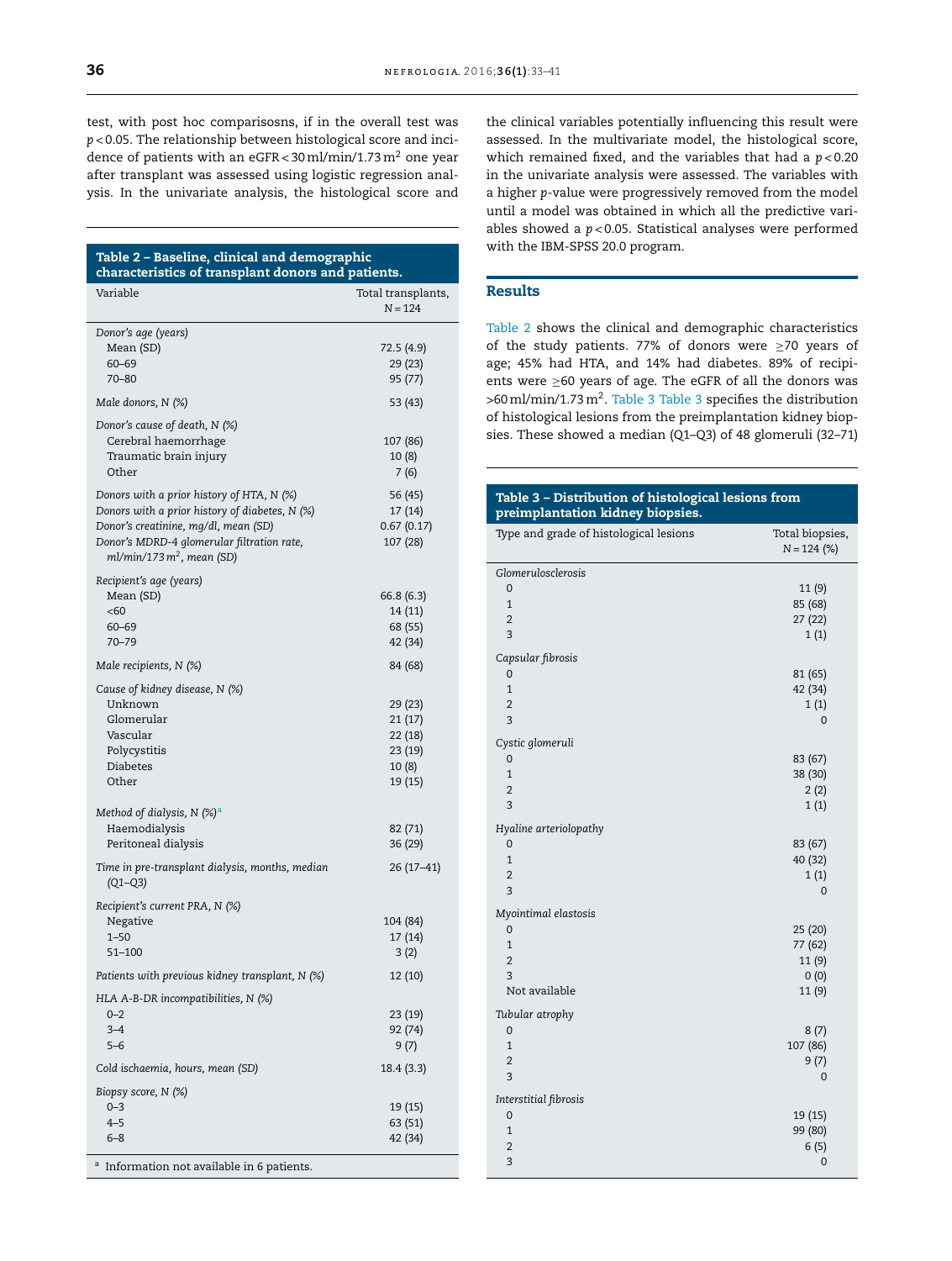test, with post hoc comparisosns, if in the overall test was *p* < 0.05. The relationship between histological score and incidence of patients with an eGFR <  $30$  ml/min/1.73 m<sup>2</sup> one year after transplant was assessed using logistic regression analysis. In the univariate analysis, the histological score and

| Table 2 - Baseline, clinical and demographic<br>characteristics of transplant donors and patients.                                                                                                                 |                                                              |  |
|--------------------------------------------------------------------------------------------------------------------------------------------------------------------------------------------------------------------|--------------------------------------------------------------|--|
| Variable                                                                                                                                                                                                           | Total transplants,<br>$N = 124$                              |  |
| Donor's age (years)<br>Mean (SD)<br>$60 - 69$<br>70-80                                                                                                                                                             | 72.5 (4.9)<br>29 (23)<br>95 (77)                             |  |
| Male donors, N (%)                                                                                                                                                                                                 | 53 (43)                                                      |  |
| Donor's cause of death, N (%)<br>Cerebral haemorrhage<br>Traumatic brain injury<br>Other                                                                                                                           | 107 (86)<br>10 (8)<br>7(6)                                   |  |
| Donors with a prior history of HTA, $N$ (%)<br>Donors with a prior history of diabetes, N (%)<br>Donor's creatinine, mg/dl, mean (SD)<br>Donor's MDRD-4 glomerular filtration rate,<br>$ml/min/173 m2$ , mean (SD) | 56 (45)<br>17(14)<br>0.67(0.17)<br>107 (28)                  |  |
| Recipient's age (years)<br>Mean (SD)<br><60<br>$60 - 69$<br>$70 - 79$                                                                                                                                              | 66.8 (6.3)<br>14(11)<br>68 (55)<br>42 (34)                   |  |
| Male recipients, N (%)                                                                                                                                                                                             | 84 (68)                                                      |  |
| Cause of kidney disease, N (%)<br>Unknown<br>Glomerular<br>Vascular<br>Polycystitis<br>Diabetes<br>Other                                                                                                           | 29 (23)<br>21(17)<br>22 (18)<br>23 (19)<br>10 (8)<br>19 (15) |  |
| Method of dialysis, N $(\%)^a$<br>Haemodialysis<br>Peritoneal dialysis                                                                                                                                             | 82 (71)<br>36 (29)                                           |  |
| Time in pre-transplant dialysis, months, median<br>$(Q1 - Q3)$                                                                                                                                                     | 26 (17–41)                                                   |  |
| Recipient's current PRA, N (%)<br>Negative<br>$1 - 50$<br>51-100                                                                                                                                                   | 104 (84)<br>17(14)<br>3(2)                                   |  |
| Patients with previous kidney transplant, $N$ (%)                                                                                                                                                                  | 12 (10)                                                      |  |
| HLA A-B-DR incompatibilities, $N$ (%)<br>$0 - 2$<br>$3 - 4$<br>$5 - 6$                                                                                                                                             | 23 (19)<br>92 (74)<br>9 (7)                                  |  |
| Cold ischaemia, hours, mean (SD)                                                                                                                                                                                   | 18.4 (3.3)                                                   |  |
| Biopsy score, N (%)<br>$0 - 3$<br>4–5<br>$6 - 8$                                                                                                                                                                   | 19 (15)<br>63 (51)<br>42 (34)                                |  |
| <sup>a</sup> Information not available in 6 patients.                                                                                                                                                              |                                                              |  |

the clinical variables potentially influencing this result were assessed. In the multivariate model, the histological score, which remained fixed, and the variables that had a *p* < 0.20 in the univariate analysis were assessed. The variables with a higher *p*-value were progressively removed from the model until a model was obtained in which all the predictive variables showed a *p* < 0.05. Statistical analyses were performed with the IBM-SPSS 20.0 program.

## Results

Table 2 shows the clinical and demographic characteristics of the study patients. 77% of donors were ≥70 years of age; 45% had HTA, and 14% had diabetes. 89% of recipients were ≥60 years of age. The eGFR of all the donors was >60 ml/min/1.73 m<sup>2</sup>. Table 3 Table 3 specifies the distribution of histological lesions from the preimplantation kidney biopsies. These showed a median (Q1–Q3) of 48 glomeruli (32–71)

| Table 3 - Distribution of histological lesions from<br>preimplantation kidney biopsies. |                                              |  |
|-----------------------------------------------------------------------------------------|----------------------------------------------|--|
| Type and grade of histological lesions                                                  | Total biopsies,<br>$N = 124$ (%)             |  |
| Glomerulosclerosis<br>$\Omega$<br>$\mathbf{1}$<br>$\overline{2}$<br>3                   | 11 (9)<br>85 (68)<br>27 (22)<br>1(1)         |  |
| Capsular fibrosis<br>0<br>$\mathbf{1}$<br>$\overline{2}$<br>3                           | 81 (65)<br>42 (34)<br>1(1)<br>$\mathbf 0$    |  |
| Cystic glomeruli<br>0<br>$\mathbf{1}$<br>$\overline{2}$<br>3                            | 83 (67)<br>38 (30)<br>2(2)<br>1(1)           |  |
| Hyaline arteriolopathy<br>0<br>$\mathbf{1}$<br>$\overline{2}$<br>3                      | 83 (67)<br>40 (32)<br>1(1)<br>0              |  |
| Myointimal elastosis<br>0<br>$\mathbf{1}$<br>$\overline{2}$<br>3<br>Not available       | 25 (20)<br>77 (62)<br>11(9)<br>0(0)<br>11(9) |  |
| Tubular atrophy<br>0<br>$\mathbf{1}$<br>$\overline{2}$<br>3                             | 8(7)<br>107 (86)<br>9(7)<br>$\mathbf 0$      |  |
| Interstitial fibrosis<br>0<br>$\mathbf{1}$<br>$\overline{2}$<br>3                       | 19 (15)<br>99 (80)<br>6(5)<br>$\overline{0}$ |  |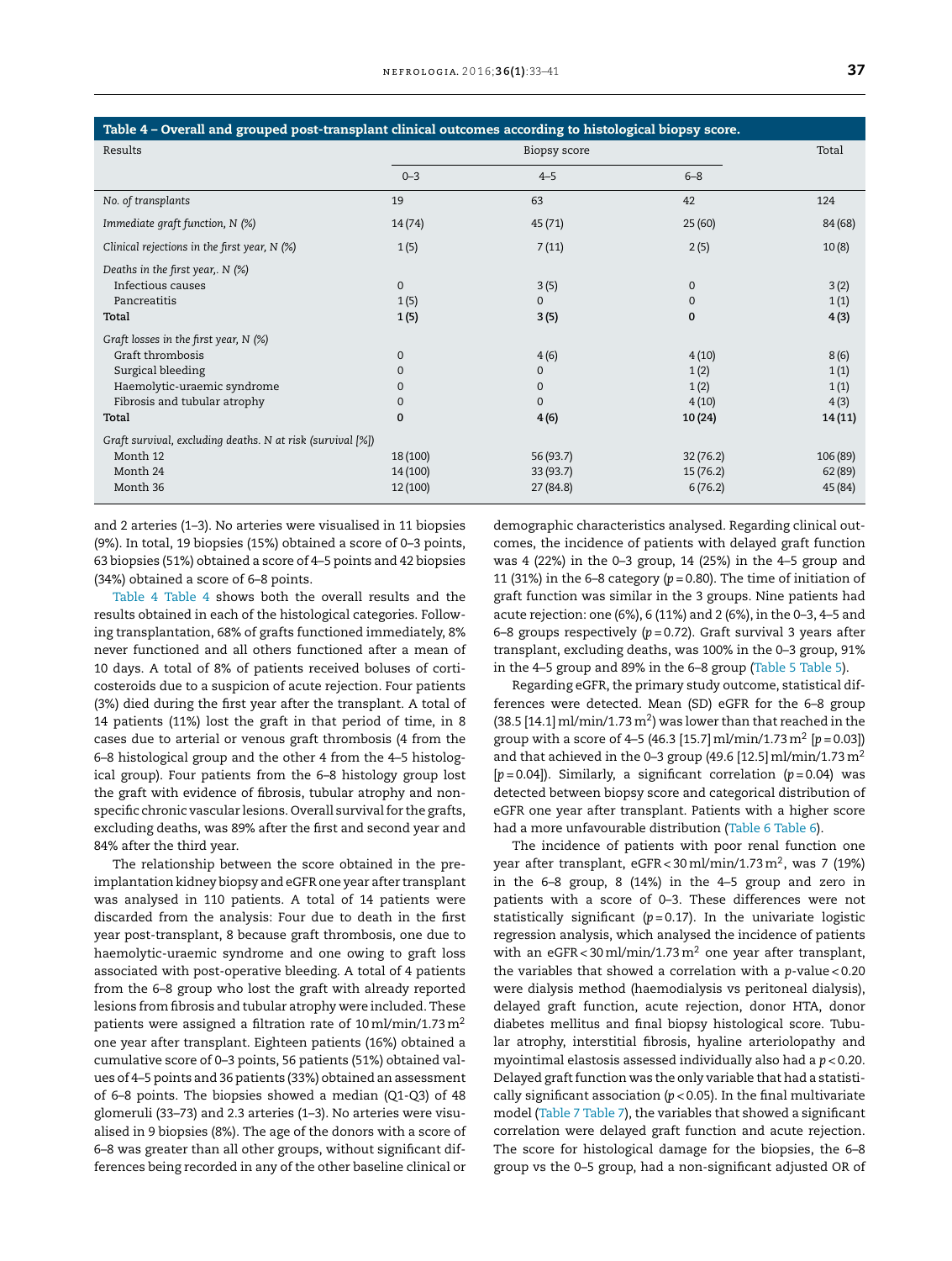| Table 4 - Overall and grouped post-transplant clinical outcomes according to histological biopsy score. |                                      |                                      |                                 |                               |
|---------------------------------------------------------------------------------------------------------|--------------------------------------|--------------------------------------|---------------------------------|-------------------------------|
| Results                                                                                                 | Biopsy score                         |                                      |                                 | Total                         |
|                                                                                                         | $0 - 3$                              | $4 - 5$                              | $6 - 8$                         |                               |
| No. of transplants                                                                                      | 19                                   | 63                                   | 42                              | 124                           |
| Immediate graft function, N (%)                                                                         | 14(74)                               | 45(71)                               | 25(60)                          | 84 (68)                       |
| Clinical rejections in the first year, $N$ (%)                                                          | 1(5)                                 | 7(11)                                | 2(5)                            | 10(8)                         |
| Deaths in the first year,. N (%)<br>Infectious causes<br>Pancreatitis                                   | $\mathbf{0}$                         | 3(5)<br>$\Omega$                     | $\mathbf{0}$                    | 3(2)                          |
| Total                                                                                                   | 1(5)<br>1(5)                         | 3(5)                                 | 0<br>0                          | 1(1)<br>4(3)                  |
| Graft losses in the first year, $N$ (%)                                                                 |                                      |                                      |                                 |                               |
| Graft thrombosis<br>Surgical bleeding<br>Haemolytic-uraemic syndrome                                    | $\mathbf{0}$<br>$\Omega$<br>$\Omega$ | 4(6)<br>$\mathbf{0}$<br>$\mathbf{0}$ | 4(10)<br>1(2)<br>1(2)           | 8(6)<br>1(1)<br>1(1)          |
| Fibrosis and tubular atrophy<br>Total                                                                   | $\Omega$<br>$\mathbf 0$              | $\Omega$<br>4(6)                     | 4(10)<br>10(24)                 | 4(3)<br>14(11)                |
| Graft survival, excluding deaths. N at risk (survival [%])                                              |                                      |                                      |                                 |                               |
| Month 12<br>Month 24<br>Month 36                                                                        | 18 (100)<br>14 (100)<br>12 (100)     | 56 (93.7)<br>33(93.7)<br>27(84.8)    | 32(76.2)<br>15(76.2)<br>6(76.2) | 106 (89)<br>62(89)<br>45 (84) |

and 2 arteries (1–3). No arteries were visualised in 11 biopsies (9%). In total, 19 biopsies (15%) obtained a score of 0–3 points, 63 biopsies (51%) obtained a score of 4–5 points and 42 biopsies (34%) obtained a score of 6–8 points.

Table 4 Table 4 shows both the overall results and the results obtained in each of the histological categories. Following transplantation, 68% of grafts functioned immediately, 8% never functioned and all others functioned after a mean of 10 days. A total of 8% of patients received boluses of corticosteroids due to a suspicion of acute rejection. Four patients (3%) died during the first year after the transplant. A total of 14 patients (11%) lost the graft in that period of time, in 8 cases due to arterial or venous graft thrombosis (4 from the 6–8 histological group and the other 4 from the 4–5 histological group). Four patients from the 6–8 histology group lost the graft with evidence of fibrosis, tubular atrophy and nonspecific chronic vascular lesions. Overall survival for the grafts, excluding deaths, was 89% after the first and second year and 84% after the third year.

The relationship between the score obtained in the preimplantation kidney biopsy and eGFR one year after transplant was analysed in 110 patients. A total of 14 patients were discarded from the analysis: Four due to death in the first year post-transplant, 8 because graft thrombosis, one due to haemolytic-uraemic syndrome and one owing to graft loss associated with post-operative bleeding. A total of 4 patients from the 6–8 group who lost the graft with already reported lesions from fibrosis and tubular atrophy were included. These patients were assigned a filtration rate of  $10 \text{ ml/min}/1.73 \text{ m}^2$ one year after transplant. Eighteen patients (16%) obtained a cumulative score of 0–3 points, 56 patients (51%) obtained values of 4–5 points and 36 patients (33%) obtained an assessment of 6–8 points. The biopsies showed a median (Q1-Q3) of 48 glomeruli (33–73) and 2.3 arteries (1–3). No arteries were visualised in 9 biopsies (8%). The age of the donors with a score of 6–8 was greater than all other groups, without significant differences being recorded in any of the other baseline clinical or

demographic characteristics analysed. Regarding clinical outcomes, the incidence of patients with delayed graft function was 4 (22%) in the 0–3 group, 14 (25%) in the 4–5 group and 11 (31%) in the 6-8 category ( $p = 0.80$ ). The time of initiation of graft function was similar in the 3 groups. Nine patients had acute rejection: one (6%), 6 (11%) and 2 (6%), in the 0–3, 4–5 and 6–8 groups respectively (*p* = 0.72). Graft survival 3 years after transplant, excluding deaths, was 100% in the 0–3 group, 91% in the 4–5 group and 89% in the 6–8 group [\(Table](#page-5-0) 5 [Table](#page-5-0) 5).

Regarding eGFR, the primary study outcome, statistical differences were detected. Mean (SD) eGFR for the 6–8 group  $(38.5 [14.1] \,\mathrm{mI/min}/1.73 \,\mathrm{m}^2)$  was lower than that reached in the group with a score of 4–5 (46.3 [15.7]ml/min/1.73m<sup>2</sup> [*p* = 0.03]) and that achieved in the 0-3 group (49.6 [12.5] ml/min/1.73 m<sup>2</sup> [*p* = 0.04]). Similarly, a significant correlation (*p* = 0.04) was detected between biopsy score and categorical distribution of eGFR one year after transplant. Patients with a higher score had a more unfavourable distribution [\(Table](#page-5-0) 6 [Table](#page-5-0) 6).

The incidence of patients with poor renal function one year after transplant, eGFR<30 ml/min/1.73 m $^2$ , was 7 (19%) in the 6–8 group, 8 (14%) in the 4–5 group and zero in patients with a score of 0–3. These differences were not statistically significant  $(p=0.17)$ . In the univariate logistic regression analysis, which analysed the incidence of patients with an eGFR < 30 ml/min/1.73 m<sup>2</sup> one year after transplant, the variables that showed a correlation with a *p*-value < 0.20 were dialysis method (haemodialysis vs peritoneal dialysis), delayed graft function, acute rejection, donor HTA, donor diabetes mellitus and final biopsy histological score. Tubular atrophy, interstitial fibrosis, hyaline arteriolopathy and myointimal elastosis assessed individually also had a *p* < 0.20. Delayed graft function was the only variable that had a statistically significant association (*p* < 0.05). In the final multivariate model ([Table](#page-6-0) 7 [Table](#page-6-0) 7), the variables that showed a significant correlation were delayed graft function and acute rejection. The score for histological damage for the biopsies, the 6–8 group vs the 0–5 group, had a non-significant adjusted OR of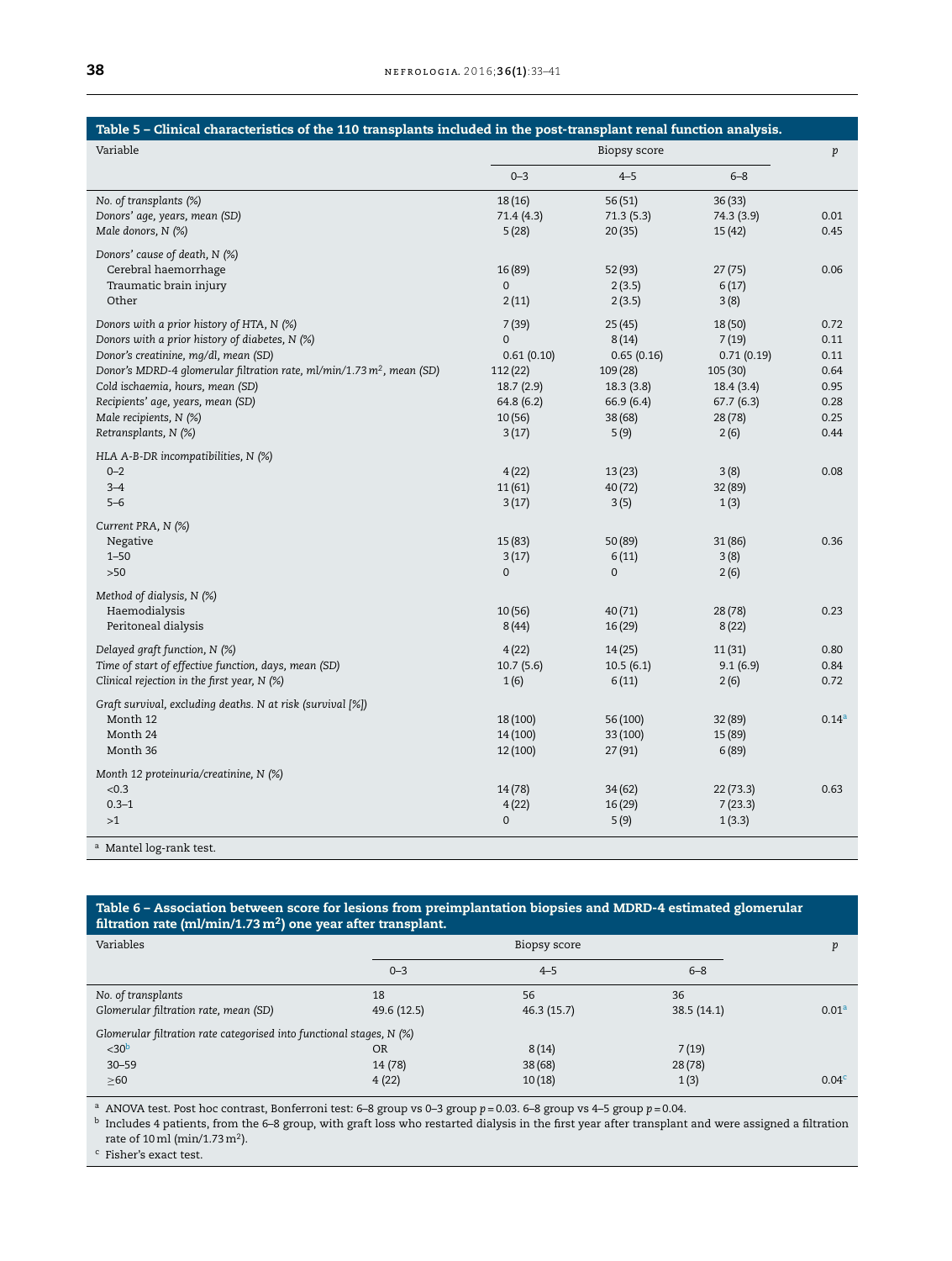<span id="page-5-0"></span>

| Table 5 - Clinical characteristics of the 110 transplants included in the post-transplant renal function analysis. |              |                |            |                   |
|--------------------------------------------------------------------------------------------------------------------|--------------|----------------|------------|-------------------|
| Variable                                                                                                           | Biopsy score |                |            | $\,p\,$           |
|                                                                                                                    | $0 - 3$      | $4 - 5$        | $6 - 8$    |                   |
| No. of transplants (%)                                                                                             | 18(16)       | 56 (51)        | 36(33)     |                   |
| Donors' age, years, mean (SD)                                                                                      | 71.4 (4.3)   | 71.3 (5.3)     | 74.3 (3.9) | 0.01              |
| Male donors, N (%)                                                                                                 | 5(28)        | 20(35)         | 15(42)     | 0.45              |
| Donors' cause of death, N (%)                                                                                      |              |                |            |                   |
| Cerebral haemorrhage                                                                                               | 16 (89)      | 52 (93)        | 27(75)     | 0.06              |
| Traumatic brain injury                                                                                             | 0            | 2(3.5)         | 6(17)      |                   |
| Other                                                                                                              | 2(11)        | 2(3.5)         | 3(8)       |                   |
| Donors with a prior history of HTA, N (%)                                                                          | 7(39)        | 25 (45)        | 18 (50)    | 0.72              |
| Donors with a prior history of diabetes, N (%)                                                                     | $\mathbf 0$  | 8(14)          | 7(19)      | 0.11              |
| Donor's creatinine, mg/dl, mean (SD)                                                                               | 0.61(0.10)   | 0.65(0.16)     | 0.71(0.19) | 0.11              |
| Donor's MDRD-4 glomerular filtration rate, ml/min/1.73 m <sup>2</sup> , mean (SD)                                  | 112(22)      | 109 (28)       | 105 (30)   | 0.64              |
| Cold ischaemia, hours, mean (SD)                                                                                   | 18.7(2.9)    | 18.3(3.8)      | 18.4(3.4)  | 0.95              |
| Recipients' age, years, mean (SD)                                                                                  | 64.8(6.2)    | 66.9(6.4)      | 67.7(6.3)  | 0.28              |
| Male recipients, N (%)                                                                                             | 10(56)       | 38 (68)        | 28(78)     | 0.25              |
| Retransplants, N (%)                                                                                               | 3(17)        | 5(9)           | 2(6)       | 0.44              |
| HLA A-B-DR incompatibilities, N (%)                                                                                |              |                |            |                   |
| $0 - 2$                                                                                                            | 4(22)        | 13(23)         | 3(8)       | 0.08              |
| $3 - 4$                                                                                                            | 11(61)       | 40 (72)        | 32 (89)    |                   |
| $5 - 6$                                                                                                            | 3(17)        | 3(5)           | 1(3)       |                   |
| Current PRA, N (%)                                                                                                 |              |                |            |                   |
| Negative                                                                                                           | 15 (83)      | 50 (89)        | 31(86)     | 0.36              |
| $1 - 50$                                                                                                           | 3(17)        | 6(11)          | 3(8)       |                   |
| $>50$                                                                                                              | $\mathbf 0$  | $\overline{0}$ | 2(6)       |                   |
| Method of dialysis, N (%)                                                                                          |              |                |            |                   |
| Haemodialysis                                                                                                      | 10(56)       | 40(71)         | 28(78)     | 0.23              |
| Peritoneal dialysis                                                                                                | 8(44)        | 16 (29)        | 8(22)      |                   |
| Delayed graft function, N (%)                                                                                      | 4(22)        | 14(25)         | 11(31)     | 0.80              |
| Time of start of effective function, days, mean (SD)                                                               | 10.7(5.6)    | 10.5(6.1)      | 9.1(6.9)   | 0.84              |
| Clinical rejection in the first year, $N$ (%)                                                                      | 1(6)         | 6(11)          | 2(6)       | 0.72              |
| Graft survival, excluding deaths. N at risk (survival [%])                                                         |              |                |            |                   |
| Month 12                                                                                                           | 18 (100)     | 56 (100)       | 32 (89)    | 0.14 <sup>a</sup> |
| Month 24                                                                                                           | 14 (100)     | 33 (100)       | 15 (89)    |                   |
| Month 36                                                                                                           | 12 (100)     | 27 (91)        | 6(89)      |                   |
| Month 12 proteinuria/creatinine, N (%)                                                                             |              |                |            |                   |
| < 0.3                                                                                                              | 14(78)       | 34 (62)        | 22(73.3)   | 0.63              |
| $0.3 - 1$                                                                                                          | 4(22)        | 16 (29)        | 7(23.3)    |                   |
| >1                                                                                                                 | 0            | 5(9)           | 1(3.3)     |                   |
| <sup>a</sup> Mantel log-rank test.                                                                                 |              |                |            |                   |

#### Table 6 – Association between score for lesions from preimplantation biopsies and MDRD-4 estimated glomerular filtration rate (ml/min/1.73 m<sup>2</sup>) one year after transplant.

| Variables                                                            | Biopsy score |            |            | n                 |
|----------------------------------------------------------------------|--------------|------------|------------|-------------------|
|                                                                      | $0 - 3$      | $4 - 5$    | $6 - 8$    |                   |
| No. of transplants                                                   | 18           | 56         | 36         |                   |
| Glomerular filtration rate, mean (SD)                                | 49.6 (12.5)  | 46.3(15.7) | 38.5(14.1) | 0.01 <sup>a</sup> |
| Glomerular filtration rate categorised into functional stages, N (%) |              |            |            |                   |
| $<$ 30 $b$                                                           | <b>OR</b>    | 8(14)      | 7(19)      |                   |
| $30 - 59$                                                            | 14 (78)      | 38(68)     | 28(78)     |                   |
| $\geq 60$                                                            | 4(22)        | 10(18)     | 1(3)       | 0.04 <sup>c</sup> |

<sup>a</sup> ANOVA test. Post hoc contrast, Bonferroni test: 6–8 group vs 0–3 group *p* = 0.03. 6–8 group vs 4–5 group *p* = 0.04.

 $^{\rm b}$  Includes 4 patients, from the 6–8 group, with graft loss who restarted dialysis in the first year after transplant and were assigned a filtration rate of 10 ml (min/1.73 m<sup>2</sup>).

 $\,^{\rm c}$  Fisher's exact test.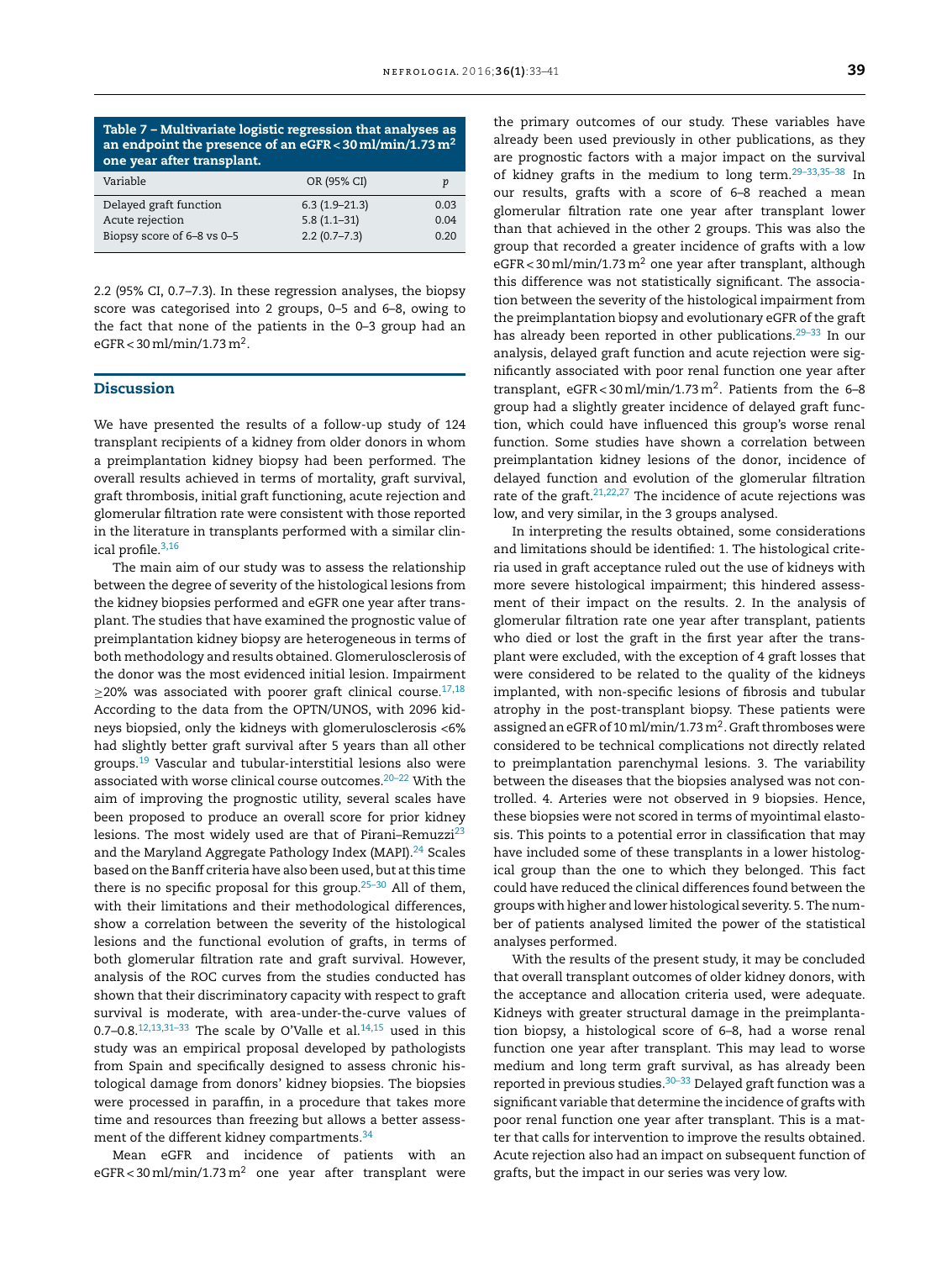<span id="page-6-0"></span>

| Variable                   | OR (95% CI)      | р    |
|----------------------------|------------------|------|
| Delayed graft function     | $6.3(1.9-21.3)$  | 0.03 |
| Acute rejection            | $5.8(1.1-31)$    | 0.04 |
| Biopsy score of 6-8 vs 0-5 | $2.2(0.7 - 7.3)$ | 0.20 |
|                            |                  |      |

2.2 (95% CI, 0.7–7.3). In these regression analyses, the biopsy score was categorised into 2 groups, 0–5 and 6–8, owing to the fact that none of the patients in the 0–3 group had an eGFR < 30ml/min/1.73m<sup>2</sup> .

## Discussion

We have presented the results of a follow-up study of 124 transplant recipients of a kidney from older donors in whom a preimplantation kidney biopsy had been performed. The overall results achieved in terms of mortality, graft survival, graft thrombosis, initial graft functioning, acute rejection and glomerular filtration rate were consistent with those reported in the literature in transplants performed with a similar clinical profile.[3,16](#page-7-0)

The main aim of our study was to assess the relationship between the degree of severity of the histological lesions from the kidney biopsies performed and eGFR one year after transplant. The studies that have examined the prognostic value of preimplantation kidney biopsy are heterogeneous in terms of both methodology and results obtained. Glomerulosclerosis of the donor was the most evidenced initial lesion. Impairment  $>$ 20% was associated with poorer graft clinical course.<sup>[17,18](#page-7-0)</sup> According to the data from the OPTN/UNOS, with 2096 kidneys biopsied, only the kidneys with glomerulosclerosis <6% had slightly better graft survival after 5 years than all other groups.[19](#page-7-0) Vascular and tubular-interstitial lesions also were associated with worse clinical course outcomes.[20–22](#page-7-0) With the aim of improving the prognostic utility, several scales have been proposed to produce an overall score for prior kidney lesions. The most widely used are that of Pirani-Remuzzi $^{23}$  $^{23}$  $^{23}$ and the Maryland Aggregate Pathology Index (MAPI).<sup>[24](#page-7-0)</sup> Scales based on the Banff criteria have also been used, but atthis time there is no specific proposal for this group.<sup>25-30</sup> All of them, with their limitations and their methodological differences, show a correlation between the severity of the histological lesions and the functional evolution of grafts, in terms of both glomerular filtration rate and graft survival. However, analysis of the ROC curves from the studies conducted has shown that their discriminatory capacity with respect to graft survival is moderate, with area-under-the-curve values of 0.7–0.8.<sup>[12,13,31–33](#page-7-0)</sup> The scale by O'Valle et al.<sup>[14,15](#page-7-0)</sup> used in this study was an empirical proposal developed by pathologists from Spain and specifically designed to assess chronic histological damage from donors' kidney biopsies. The biopsies were processed in paraffin, in a procedure that takes more time and resources than freezing but allows a better assess-ment of the different kidney compartments.<sup>[34](#page-8-0)</sup>

Mean eGFR and incidence of patients with an  $e$ GFR < 30 ml/min/1.73 m<sup>2</sup> one year after transplant were

the primary outcomes of our study. These variables have already been used previously in other publications, as they are prognostic factors with a major impact on the survival of kidney grafts in the medium to long term.[29–33,35–38](#page-8-0) In our results, grafts with a score of 6–8 reached a mean glomerular filtration rate one year after transplant lower than that achieved in the other 2 groups. This was also the group that recorded a greater incidence of grafts with a low  $e$ GFR < 30 ml/min/1.73 m<sup>2</sup> one year after transplant, although this difference was not statistically significant. The association between the severity of the histological impairment from the preimplantation biopsy and evolutionary eGFR of the graft has already been reported in other publications.<sup>29-33</sup> In our analysis, delayed graft function and acute rejection were significantly associated with poor renal function one year after transplant,  $e$ GFR < 30 ml/min/1.73 m<sup>2</sup>. Patients from the 6–8 group had a slightly greater incidence of delayed graft function, which could have influenced this group's worse renal function. Some studies have shown a correlation between preimplantation kidney lesions of the donor, incidence of delayed function and evolution of the glomerular filtration rate of the graft.<sup>[21,22,27](#page-7-0)</sup> The incidence of acute rejections was low, and very similar, in the 3 groups analysed.

In interpreting the results obtained, some considerations and limitations should be identified: 1. The histological criteria used in graft acceptance ruled out the use of kidneys with more severe histological impairment; this hindered assessment of their impact on the results. 2. In the analysis of glomerular filtration rate one year after transplant, patients who died or lost the graft in the first year after the transplant were excluded, with the exception of 4 graft losses that were considered to be related to the quality of the kidneys implanted, with non-specific lesions of fibrosis and tubular atrophy in the post-transplant biopsy. These patients were assigned an eGFR of 10 ml/min/1.73 m<sup>2</sup>. Graft thromboses were considered to be technical complications not directly related to preimplantation parenchymal lesions. 3. The variability between the diseases that the biopsies analysed was not controlled. 4. Arteries were not observed in 9 biopsies. Hence, these biopsies were not scored in terms of myointimal elastosis. This points to a potential error in classification that may have included some of these transplants in a lower histological group than the one to which they belonged. This fact could have reduced the clinical differences found between the groups with higher and lower histological severity. 5. The number of patients analysed limited the power of the statistical analyses performed.

With the results of the present study, it may be concluded that overall transplant outcomes of older kidney donors, with the acceptance and allocation criteria used, were adequate. Kidneys with greater structural damage in the preimplantation biopsy, a histological score of 6–8, had a worse renal function one year after transplant. This may lead to worse medium and long term graft survival, as has already been reported in previous studies. $30-33$  Delayed graft function was a significant variable that determine the incidence of grafts with poor renal function one year after transplant. This is a matter that calls for intervention to improve the results obtained. Acute rejection also had an impact on subsequent function of grafts, but the impact in our series was very low.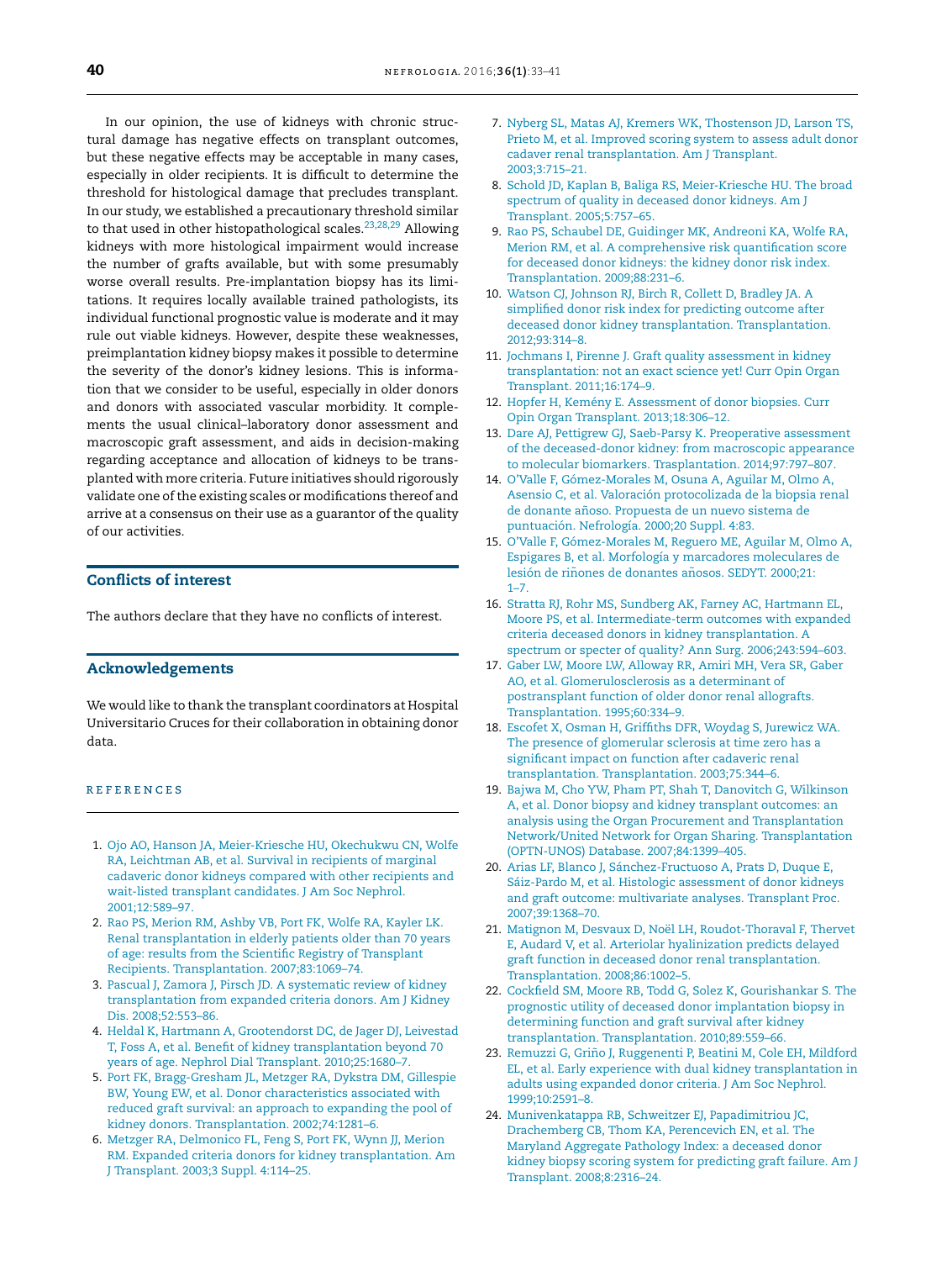<span id="page-7-0"></span>In our opinion, the use of kidneys with chronic structural damage has negative effects on transplant outcomes, but these negative effects may be acceptable in many cases, especially in older recipients. It is difficult to determine the threshold for histological damage that precludes transplant. In our study, we established a precautionary threshold similar to that used in other histopathological scales.<sup>23,28,29</sup> Allowing kidneys with more histological impairment would increase the number of grafts available, but with some presumably worse overall results. Pre-implantation biopsy has its limitations. It requires locally available trained pathologists, its individual functional prognostic value is moderate and it may rule out viable kidneys. However, despite these weaknesses, preimplantation kidney biopsy makes it possible to determine the severity of the donor's kidney lesions. This is information that we consider to be useful, especially in older donors and donors with associated vascular morbidity. It complements the usual clinical–laboratory donor assessment and macroscopic graft assessment, and aids in decision-making regarding acceptance and allocation of kidneys to be transplanted with more criteria. Future initiatives should rigorously validate one of the existing scales or modifications thereof and arrive at a consensus on their use as a guarantor of the quality of our activities.

## Conflicts of interest

The authors declare that they have no conflicts of interest.

## Acknowledgements

We would like to thank the transplant coordinators at Hospital Universitario Cruces for their collaboration in obtaining donor data.

## **REFERENCES**

- 1. [Ojo](http://refhub.elsevier.com/S2013-2514(16)00034-1/sbref0195) [AO,](http://refhub.elsevier.com/S2013-2514(16)00034-1/sbref0195) [Hanson](http://refhub.elsevier.com/S2013-2514(16)00034-1/sbref0195) [JA,](http://refhub.elsevier.com/S2013-2514(16)00034-1/sbref0195) [Meier-Kriesche](http://refhub.elsevier.com/S2013-2514(16)00034-1/sbref0195) [HU,](http://refhub.elsevier.com/S2013-2514(16)00034-1/sbref0195) [Okechukwu](http://refhub.elsevier.com/S2013-2514(16)00034-1/sbref0195) [CN,](http://refhub.elsevier.com/S2013-2514(16)00034-1/sbref0195) [Wolfe](http://refhub.elsevier.com/S2013-2514(16)00034-1/sbref0195) [RA,](http://refhub.elsevier.com/S2013-2514(16)00034-1/sbref0195) [Leichtman](http://refhub.elsevier.com/S2013-2514(16)00034-1/sbref0195) [AB,](http://refhub.elsevier.com/S2013-2514(16)00034-1/sbref0195) [et](http://refhub.elsevier.com/S2013-2514(16)00034-1/sbref0195) [al.](http://refhub.elsevier.com/S2013-2514(16)00034-1/sbref0195) [Survival](http://refhub.elsevier.com/S2013-2514(16)00034-1/sbref0195) [in](http://refhub.elsevier.com/S2013-2514(16)00034-1/sbref0195) [recipients](http://refhub.elsevier.com/S2013-2514(16)00034-1/sbref0195) [of](http://refhub.elsevier.com/S2013-2514(16)00034-1/sbref0195) [marginal](http://refhub.elsevier.com/S2013-2514(16)00034-1/sbref0195) [cadaveric](http://refhub.elsevier.com/S2013-2514(16)00034-1/sbref0195) [donor](http://refhub.elsevier.com/S2013-2514(16)00034-1/sbref0195) [kidneys](http://refhub.elsevier.com/S2013-2514(16)00034-1/sbref0195) [compared](http://refhub.elsevier.com/S2013-2514(16)00034-1/sbref0195) [with](http://refhub.elsevier.com/S2013-2514(16)00034-1/sbref0195) [other](http://refhub.elsevier.com/S2013-2514(16)00034-1/sbref0195) [recipients](http://refhub.elsevier.com/S2013-2514(16)00034-1/sbref0195) [and](http://refhub.elsevier.com/S2013-2514(16)00034-1/sbref0195) [wait-listed](http://refhub.elsevier.com/S2013-2514(16)00034-1/sbref0195) [transplant](http://refhub.elsevier.com/S2013-2514(16)00034-1/sbref0195) [candidates.](http://refhub.elsevier.com/S2013-2514(16)00034-1/sbref0195) [J](http://refhub.elsevier.com/S2013-2514(16)00034-1/sbref0195) [Am](http://refhub.elsevier.com/S2013-2514(16)00034-1/sbref0195) [Soc](http://refhub.elsevier.com/S2013-2514(16)00034-1/sbref0195) [Nephrol.](http://refhub.elsevier.com/S2013-2514(16)00034-1/sbref0195) [2001;12:589–97.](http://refhub.elsevier.com/S2013-2514(16)00034-1/sbref0195)
- 2. [Rao](http://refhub.elsevier.com/S2013-2514(16)00034-1/sbref0200) [PS,](http://refhub.elsevier.com/S2013-2514(16)00034-1/sbref0200) [Merion](http://refhub.elsevier.com/S2013-2514(16)00034-1/sbref0200) [RM,](http://refhub.elsevier.com/S2013-2514(16)00034-1/sbref0200) [Ashby](http://refhub.elsevier.com/S2013-2514(16)00034-1/sbref0200) [VB,](http://refhub.elsevier.com/S2013-2514(16)00034-1/sbref0200) [Port](http://refhub.elsevier.com/S2013-2514(16)00034-1/sbref0200) [FK,](http://refhub.elsevier.com/S2013-2514(16)00034-1/sbref0200) [Wolfe](http://refhub.elsevier.com/S2013-2514(16)00034-1/sbref0200) [RA,](http://refhub.elsevier.com/S2013-2514(16)00034-1/sbref0200) [Kayler](http://refhub.elsevier.com/S2013-2514(16)00034-1/sbref0200) [LK.](http://refhub.elsevier.com/S2013-2514(16)00034-1/sbref0200) [Renal](http://refhub.elsevier.com/S2013-2514(16)00034-1/sbref0200) [transplantation](http://refhub.elsevier.com/S2013-2514(16)00034-1/sbref0200) [in](http://refhub.elsevier.com/S2013-2514(16)00034-1/sbref0200) [elderly](http://refhub.elsevier.com/S2013-2514(16)00034-1/sbref0200) [patients](http://refhub.elsevier.com/S2013-2514(16)00034-1/sbref0200) [older](http://refhub.elsevier.com/S2013-2514(16)00034-1/sbref0200) [than](http://refhub.elsevier.com/S2013-2514(16)00034-1/sbref0200) [70](http://refhub.elsevier.com/S2013-2514(16)00034-1/sbref0200) [years](http://refhub.elsevier.com/S2013-2514(16)00034-1/sbref0200) [of](http://refhub.elsevier.com/S2013-2514(16)00034-1/sbref0200) [age:](http://refhub.elsevier.com/S2013-2514(16)00034-1/sbref0200) [results](http://refhub.elsevier.com/S2013-2514(16)00034-1/sbref0200) [from](http://refhub.elsevier.com/S2013-2514(16)00034-1/sbref0200) [the](http://refhub.elsevier.com/S2013-2514(16)00034-1/sbref0200) [Scientific](http://refhub.elsevier.com/S2013-2514(16)00034-1/sbref0200) [Registry](http://refhub.elsevier.com/S2013-2514(16)00034-1/sbref0200) [of](http://refhub.elsevier.com/S2013-2514(16)00034-1/sbref0200) [Transplant](http://refhub.elsevier.com/S2013-2514(16)00034-1/sbref0200) [Recipients.](http://refhub.elsevier.com/S2013-2514(16)00034-1/sbref0200) [Transplantation.](http://refhub.elsevier.com/S2013-2514(16)00034-1/sbref0200) [2007;83:1069–74.](http://refhub.elsevier.com/S2013-2514(16)00034-1/sbref0200)
- 3. [Pascual](http://refhub.elsevier.com/S2013-2514(16)00034-1/sbref0205) [J,](http://refhub.elsevier.com/S2013-2514(16)00034-1/sbref0205) [Zamora](http://refhub.elsevier.com/S2013-2514(16)00034-1/sbref0205) [J,](http://refhub.elsevier.com/S2013-2514(16)00034-1/sbref0205) [Pirsch](http://refhub.elsevier.com/S2013-2514(16)00034-1/sbref0205) [JD.](http://refhub.elsevier.com/S2013-2514(16)00034-1/sbref0205) [A](http://refhub.elsevier.com/S2013-2514(16)00034-1/sbref0205) [systematic](http://refhub.elsevier.com/S2013-2514(16)00034-1/sbref0205) [review](http://refhub.elsevier.com/S2013-2514(16)00034-1/sbref0205) [of](http://refhub.elsevier.com/S2013-2514(16)00034-1/sbref0205) [kidney](http://refhub.elsevier.com/S2013-2514(16)00034-1/sbref0205) [transplantation](http://refhub.elsevier.com/S2013-2514(16)00034-1/sbref0205) [from](http://refhub.elsevier.com/S2013-2514(16)00034-1/sbref0205) [expanded](http://refhub.elsevier.com/S2013-2514(16)00034-1/sbref0205) [criteria](http://refhub.elsevier.com/S2013-2514(16)00034-1/sbref0205) [donors.](http://refhub.elsevier.com/S2013-2514(16)00034-1/sbref0205) [Am](http://refhub.elsevier.com/S2013-2514(16)00034-1/sbref0205) [J](http://refhub.elsevier.com/S2013-2514(16)00034-1/sbref0205) [Kidney](http://refhub.elsevier.com/S2013-2514(16)00034-1/sbref0205) [Dis.](http://refhub.elsevier.com/S2013-2514(16)00034-1/sbref0205) [2008;52:553–86.](http://refhub.elsevier.com/S2013-2514(16)00034-1/sbref0205)
- 4. [Heldal](http://refhub.elsevier.com/S2013-2514(16)00034-1/sbref0210) [K,](http://refhub.elsevier.com/S2013-2514(16)00034-1/sbref0210) [Hartmann](http://refhub.elsevier.com/S2013-2514(16)00034-1/sbref0210) [A,](http://refhub.elsevier.com/S2013-2514(16)00034-1/sbref0210) [Grootendorst](http://refhub.elsevier.com/S2013-2514(16)00034-1/sbref0210) [DC,](http://refhub.elsevier.com/S2013-2514(16)00034-1/sbref0210) [de](http://refhub.elsevier.com/S2013-2514(16)00034-1/sbref0210) [Jager](http://refhub.elsevier.com/S2013-2514(16)00034-1/sbref0210) [DJ,](http://refhub.elsevier.com/S2013-2514(16)00034-1/sbref0210) [Leivestad](http://refhub.elsevier.com/S2013-2514(16)00034-1/sbref0210) [T,](http://refhub.elsevier.com/S2013-2514(16)00034-1/sbref0210) [Foss](http://refhub.elsevier.com/S2013-2514(16)00034-1/sbref0210) [A,](http://refhub.elsevier.com/S2013-2514(16)00034-1/sbref0210) [et](http://refhub.elsevier.com/S2013-2514(16)00034-1/sbref0210) [al.](http://refhub.elsevier.com/S2013-2514(16)00034-1/sbref0210) [Benefit](http://refhub.elsevier.com/S2013-2514(16)00034-1/sbref0210) [of](http://refhub.elsevier.com/S2013-2514(16)00034-1/sbref0210) [kidney](http://refhub.elsevier.com/S2013-2514(16)00034-1/sbref0210) [transplantation](http://refhub.elsevier.com/S2013-2514(16)00034-1/sbref0210) [beyond](http://refhub.elsevier.com/S2013-2514(16)00034-1/sbref0210) [70](http://refhub.elsevier.com/S2013-2514(16)00034-1/sbref0210) [years](http://refhub.elsevier.com/S2013-2514(16)00034-1/sbref0210) [of](http://refhub.elsevier.com/S2013-2514(16)00034-1/sbref0210) [age.](http://refhub.elsevier.com/S2013-2514(16)00034-1/sbref0210) [Nephrol](http://refhub.elsevier.com/S2013-2514(16)00034-1/sbref0210) [Dial](http://refhub.elsevier.com/S2013-2514(16)00034-1/sbref0210) [Transplant.](http://refhub.elsevier.com/S2013-2514(16)00034-1/sbref0210) [2010;25:1680–7.](http://refhub.elsevier.com/S2013-2514(16)00034-1/sbref0210)
- 5. [Port](http://refhub.elsevier.com/S2013-2514(16)00034-1/sbref0215) [FK,](http://refhub.elsevier.com/S2013-2514(16)00034-1/sbref0215) [Bragg-Gresham](http://refhub.elsevier.com/S2013-2514(16)00034-1/sbref0215) [JL,](http://refhub.elsevier.com/S2013-2514(16)00034-1/sbref0215) [Metzger](http://refhub.elsevier.com/S2013-2514(16)00034-1/sbref0215) [RA,](http://refhub.elsevier.com/S2013-2514(16)00034-1/sbref0215) [Dykstra](http://refhub.elsevier.com/S2013-2514(16)00034-1/sbref0215) [DM,](http://refhub.elsevier.com/S2013-2514(16)00034-1/sbref0215) [Gillespie](http://refhub.elsevier.com/S2013-2514(16)00034-1/sbref0215) [BW,](http://refhub.elsevier.com/S2013-2514(16)00034-1/sbref0215) [Young](http://refhub.elsevier.com/S2013-2514(16)00034-1/sbref0215) [EW,](http://refhub.elsevier.com/S2013-2514(16)00034-1/sbref0215) [et](http://refhub.elsevier.com/S2013-2514(16)00034-1/sbref0215) [al.](http://refhub.elsevier.com/S2013-2514(16)00034-1/sbref0215) [Donor](http://refhub.elsevier.com/S2013-2514(16)00034-1/sbref0215) [characteristics](http://refhub.elsevier.com/S2013-2514(16)00034-1/sbref0215) [associated](http://refhub.elsevier.com/S2013-2514(16)00034-1/sbref0215) [with](http://refhub.elsevier.com/S2013-2514(16)00034-1/sbref0215) [reduced](http://refhub.elsevier.com/S2013-2514(16)00034-1/sbref0215) [graft](http://refhub.elsevier.com/S2013-2514(16)00034-1/sbref0215) [survival:](http://refhub.elsevier.com/S2013-2514(16)00034-1/sbref0215) [an](http://refhub.elsevier.com/S2013-2514(16)00034-1/sbref0215) [approach](http://refhub.elsevier.com/S2013-2514(16)00034-1/sbref0215) [to](http://refhub.elsevier.com/S2013-2514(16)00034-1/sbref0215) [expanding](http://refhub.elsevier.com/S2013-2514(16)00034-1/sbref0215) [the](http://refhub.elsevier.com/S2013-2514(16)00034-1/sbref0215) [pool](http://refhub.elsevier.com/S2013-2514(16)00034-1/sbref0215) [of](http://refhub.elsevier.com/S2013-2514(16)00034-1/sbref0215) [kidney](http://refhub.elsevier.com/S2013-2514(16)00034-1/sbref0215) [donors.](http://refhub.elsevier.com/S2013-2514(16)00034-1/sbref0215) [Transplantation.](http://refhub.elsevier.com/S2013-2514(16)00034-1/sbref0215) [2002;74:1281](http://refhub.elsevier.com/S2013-2514(16)00034-1/sbref0215)–[6.](http://refhub.elsevier.com/S2013-2514(16)00034-1/sbref0215)
- 6. [Metzger](http://refhub.elsevier.com/S2013-2514(16)00034-1/sbref0220) [RA,](http://refhub.elsevier.com/S2013-2514(16)00034-1/sbref0220) [Delmonico](http://refhub.elsevier.com/S2013-2514(16)00034-1/sbref0220) [FL,](http://refhub.elsevier.com/S2013-2514(16)00034-1/sbref0220) [Feng](http://refhub.elsevier.com/S2013-2514(16)00034-1/sbref0220) [S,](http://refhub.elsevier.com/S2013-2514(16)00034-1/sbref0220) [Port](http://refhub.elsevier.com/S2013-2514(16)00034-1/sbref0220) [FK,](http://refhub.elsevier.com/S2013-2514(16)00034-1/sbref0220) [Wynn](http://refhub.elsevier.com/S2013-2514(16)00034-1/sbref0220) [JJ,](http://refhub.elsevier.com/S2013-2514(16)00034-1/sbref0220) [Merion](http://refhub.elsevier.com/S2013-2514(16)00034-1/sbref0220) [RM.](http://refhub.elsevier.com/S2013-2514(16)00034-1/sbref0220) [Expanded](http://refhub.elsevier.com/S2013-2514(16)00034-1/sbref0220) [criteria](http://refhub.elsevier.com/S2013-2514(16)00034-1/sbref0220) [donors](http://refhub.elsevier.com/S2013-2514(16)00034-1/sbref0220) [for](http://refhub.elsevier.com/S2013-2514(16)00034-1/sbref0220) [kidney](http://refhub.elsevier.com/S2013-2514(16)00034-1/sbref0220) [transplantation.](http://refhub.elsevier.com/S2013-2514(16)00034-1/sbref0220) [Am](http://refhub.elsevier.com/S2013-2514(16)00034-1/sbref0220) [J](http://refhub.elsevier.com/S2013-2514(16)00034-1/sbref0220) [Transplant.](http://refhub.elsevier.com/S2013-2514(16)00034-1/sbref0220) [2003;3](http://refhub.elsevier.com/S2013-2514(16)00034-1/sbref0220) [Suppl.](http://refhub.elsevier.com/S2013-2514(16)00034-1/sbref0220) [4:114–25.](http://refhub.elsevier.com/S2013-2514(16)00034-1/sbref0220)
- 7. [Nyberg](http://refhub.elsevier.com/S2013-2514(16)00034-1/sbref0225) [SL,](http://refhub.elsevier.com/S2013-2514(16)00034-1/sbref0225) [Matas](http://refhub.elsevier.com/S2013-2514(16)00034-1/sbref0225) [AJ,](http://refhub.elsevier.com/S2013-2514(16)00034-1/sbref0225) [Kremers](http://refhub.elsevier.com/S2013-2514(16)00034-1/sbref0225) [WK,](http://refhub.elsevier.com/S2013-2514(16)00034-1/sbref0225) [Thostenson](http://refhub.elsevier.com/S2013-2514(16)00034-1/sbref0225) [JD,](http://refhub.elsevier.com/S2013-2514(16)00034-1/sbref0225) [Larson](http://refhub.elsevier.com/S2013-2514(16)00034-1/sbref0225) [TS,](http://refhub.elsevier.com/S2013-2514(16)00034-1/sbref0225) [Prieto](http://refhub.elsevier.com/S2013-2514(16)00034-1/sbref0225) [M,](http://refhub.elsevier.com/S2013-2514(16)00034-1/sbref0225) [et](http://refhub.elsevier.com/S2013-2514(16)00034-1/sbref0225) [al.](http://refhub.elsevier.com/S2013-2514(16)00034-1/sbref0225) [Improved](http://refhub.elsevier.com/S2013-2514(16)00034-1/sbref0225) [scoring](http://refhub.elsevier.com/S2013-2514(16)00034-1/sbref0225) [system](http://refhub.elsevier.com/S2013-2514(16)00034-1/sbref0225) [to](http://refhub.elsevier.com/S2013-2514(16)00034-1/sbref0225) [assess](http://refhub.elsevier.com/S2013-2514(16)00034-1/sbref0225) [adult](http://refhub.elsevier.com/S2013-2514(16)00034-1/sbref0225) [donor](http://refhub.elsevier.com/S2013-2514(16)00034-1/sbref0225) [cadaver](http://refhub.elsevier.com/S2013-2514(16)00034-1/sbref0225) [renal](http://refhub.elsevier.com/S2013-2514(16)00034-1/sbref0225) [transplantation.](http://refhub.elsevier.com/S2013-2514(16)00034-1/sbref0225) [Am](http://refhub.elsevier.com/S2013-2514(16)00034-1/sbref0225) [J](http://refhub.elsevier.com/S2013-2514(16)00034-1/sbref0225) [Transplant.](http://refhub.elsevier.com/S2013-2514(16)00034-1/sbref0225) [2003;3:715–21.](http://refhub.elsevier.com/S2013-2514(16)00034-1/sbref0225)
- 8. [Schold](http://refhub.elsevier.com/S2013-2514(16)00034-1/sbref0230) [JD,](http://refhub.elsevier.com/S2013-2514(16)00034-1/sbref0230) [Kaplan](http://refhub.elsevier.com/S2013-2514(16)00034-1/sbref0230) [B,](http://refhub.elsevier.com/S2013-2514(16)00034-1/sbref0230) [Baliga](http://refhub.elsevier.com/S2013-2514(16)00034-1/sbref0230) [RS,](http://refhub.elsevier.com/S2013-2514(16)00034-1/sbref0230) [Meier-Kriesche](http://refhub.elsevier.com/S2013-2514(16)00034-1/sbref0230) [HU.](http://refhub.elsevier.com/S2013-2514(16)00034-1/sbref0230) [The](http://refhub.elsevier.com/S2013-2514(16)00034-1/sbref0230) [broad](http://refhub.elsevier.com/S2013-2514(16)00034-1/sbref0230) [spectrum](http://refhub.elsevier.com/S2013-2514(16)00034-1/sbref0230) [of](http://refhub.elsevier.com/S2013-2514(16)00034-1/sbref0230) [quality](http://refhub.elsevier.com/S2013-2514(16)00034-1/sbref0230) [in](http://refhub.elsevier.com/S2013-2514(16)00034-1/sbref0230) [deceased](http://refhub.elsevier.com/S2013-2514(16)00034-1/sbref0230) [donor](http://refhub.elsevier.com/S2013-2514(16)00034-1/sbref0230) [kidneys.](http://refhub.elsevier.com/S2013-2514(16)00034-1/sbref0230) [Am](http://refhub.elsevier.com/S2013-2514(16)00034-1/sbref0230) [J](http://refhub.elsevier.com/S2013-2514(16)00034-1/sbref0230) [Transplant.](http://refhub.elsevier.com/S2013-2514(16)00034-1/sbref0230) [2005;5:757–65.](http://refhub.elsevier.com/S2013-2514(16)00034-1/sbref0230)
- 9. [Rao](http://refhub.elsevier.com/S2013-2514(16)00034-1/sbref0235) [PS,](http://refhub.elsevier.com/S2013-2514(16)00034-1/sbref0235) [Schaubel](http://refhub.elsevier.com/S2013-2514(16)00034-1/sbref0235) [DE,](http://refhub.elsevier.com/S2013-2514(16)00034-1/sbref0235) [Guidinger](http://refhub.elsevier.com/S2013-2514(16)00034-1/sbref0235) [MK,](http://refhub.elsevier.com/S2013-2514(16)00034-1/sbref0235) [Andreoni](http://refhub.elsevier.com/S2013-2514(16)00034-1/sbref0235) [KA,](http://refhub.elsevier.com/S2013-2514(16)00034-1/sbref0235) [Wolfe](http://refhub.elsevier.com/S2013-2514(16)00034-1/sbref0235) [RA,](http://refhub.elsevier.com/S2013-2514(16)00034-1/sbref0235) [Merion](http://refhub.elsevier.com/S2013-2514(16)00034-1/sbref0235) [RM,](http://refhub.elsevier.com/S2013-2514(16)00034-1/sbref0235) [et](http://refhub.elsevier.com/S2013-2514(16)00034-1/sbref0235) [al.](http://refhub.elsevier.com/S2013-2514(16)00034-1/sbref0235) [A](http://refhub.elsevier.com/S2013-2514(16)00034-1/sbref0235) [comprehensive](http://refhub.elsevier.com/S2013-2514(16)00034-1/sbref0235) [risk](http://refhub.elsevier.com/S2013-2514(16)00034-1/sbref0235) [quantification](http://refhub.elsevier.com/S2013-2514(16)00034-1/sbref0235) [score](http://refhub.elsevier.com/S2013-2514(16)00034-1/sbref0235) [for](http://refhub.elsevier.com/S2013-2514(16)00034-1/sbref0235) [deceased](http://refhub.elsevier.com/S2013-2514(16)00034-1/sbref0235) [donor](http://refhub.elsevier.com/S2013-2514(16)00034-1/sbref0235) [kidneys:](http://refhub.elsevier.com/S2013-2514(16)00034-1/sbref0235) [the](http://refhub.elsevier.com/S2013-2514(16)00034-1/sbref0235) [kidney](http://refhub.elsevier.com/S2013-2514(16)00034-1/sbref0235) [donor](http://refhub.elsevier.com/S2013-2514(16)00034-1/sbref0235) [risk](http://refhub.elsevier.com/S2013-2514(16)00034-1/sbref0235) [index.](http://refhub.elsevier.com/S2013-2514(16)00034-1/sbref0235) [Transplantation.](http://refhub.elsevier.com/S2013-2514(16)00034-1/sbref0235) [2009;88:231–6.](http://refhub.elsevier.com/S2013-2514(16)00034-1/sbref0235)
- 10. [Watson](http://refhub.elsevier.com/S2013-2514(16)00034-1/sbref0240) [CJ,](http://refhub.elsevier.com/S2013-2514(16)00034-1/sbref0240) [Johnson](http://refhub.elsevier.com/S2013-2514(16)00034-1/sbref0240) [RJ,](http://refhub.elsevier.com/S2013-2514(16)00034-1/sbref0240) [Birch](http://refhub.elsevier.com/S2013-2514(16)00034-1/sbref0240) [R,](http://refhub.elsevier.com/S2013-2514(16)00034-1/sbref0240) [Collett](http://refhub.elsevier.com/S2013-2514(16)00034-1/sbref0240) [D,](http://refhub.elsevier.com/S2013-2514(16)00034-1/sbref0240) [Bradley](http://refhub.elsevier.com/S2013-2514(16)00034-1/sbref0240) [JA.](http://refhub.elsevier.com/S2013-2514(16)00034-1/sbref0240) [A](http://refhub.elsevier.com/S2013-2514(16)00034-1/sbref0240) [simplified](http://refhub.elsevier.com/S2013-2514(16)00034-1/sbref0240) [donor](http://refhub.elsevier.com/S2013-2514(16)00034-1/sbref0240) [risk](http://refhub.elsevier.com/S2013-2514(16)00034-1/sbref0240) [index](http://refhub.elsevier.com/S2013-2514(16)00034-1/sbref0240) [for](http://refhub.elsevier.com/S2013-2514(16)00034-1/sbref0240) [predicting](http://refhub.elsevier.com/S2013-2514(16)00034-1/sbref0240) [outcome](http://refhub.elsevier.com/S2013-2514(16)00034-1/sbref0240) [after](http://refhub.elsevier.com/S2013-2514(16)00034-1/sbref0240) [deceased](http://refhub.elsevier.com/S2013-2514(16)00034-1/sbref0240) [donor](http://refhub.elsevier.com/S2013-2514(16)00034-1/sbref0240) [kidney](http://refhub.elsevier.com/S2013-2514(16)00034-1/sbref0240) [transplantation.](http://refhub.elsevier.com/S2013-2514(16)00034-1/sbref0240) [Transplantation.](http://refhub.elsevier.com/S2013-2514(16)00034-1/sbref0240) [2012;93:314](http://refhub.elsevier.com/S2013-2514(16)00034-1/sbref0240)–[8.](http://refhub.elsevier.com/S2013-2514(16)00034-1/sbref0240)
- 11. [Jochmans](http://refhub.elsevier.com/S2013-2514(16)00034-1/sbref0245) [I,](http://refhub.elsevier.com/S2013-2514(16)00034-1/sbref0245) [Pirenne](http://refhub.elsevier.com/S2013-2514(16)00034-1/sbref0245) [J.](http://refhub.elsevier.com/S2013-2514(16)00034-1/sbref0245) [Graft](http://refhub.elsevier.com/S2013-2514(16)00034-1/sbref0245) [quality](http://refhub.elsevier.com/S2013-2514(16)00034-1/sbref0245) [assessment](http://refhub.elsevier.com/S2013-2514(16)00034-1/sbref0245) [in](http://refhub.elsevier.com/S2013-2514(16)00034-1/sbref0245) [kidney](http://refhub.elsevier.com/S2013-2514(16)00034-1/sbref0245) [transplantation:](http://refhub.elsevier.com/S2013-2514(16)00034-1/sbref0245) [not](http://refhub.elsevier.com/S2013-2514(16)00034-1/sbref0245) [an](http://refhub.elsevier.com/S2013-2514(16)00034-1/sbref0245) [exact](http://refhub.elsevier.com/S2013-2514(16)00034-1/sbref0245) [science](http://refhub.elsevier.com/S2013-2514(16)00034-1/sbref0245) [yet!](http://refhub.elsevier.com/S2013-2514(16)00034-1/sbref0245) [Curr](http://refhub.elsevier.com/S2013-2514(16)00034-1/sbref0245) [Opin](http://refhub.elsevier.com/S2013-2514(16)00034-1/sbref0245) [Organ](http://refhub.elsevier.com/S2013-2514(16)00034-1/sbref0245) [Transplant.](http://refhub.elsevier.com/S2013-2514(16)00034-1/sbref0245) [2011;16:174–9.](http://refhub.elsevier.com/S2013-2514(16)00034-1/sbref0245)
- 12. [Hopfer](http://refhub.elsevier.com/S2013-2514(16)00034-1/sbref0250) [H,](http://refhub.elsevier.com/S2013-2514(16)00034-1/sbref0250) [Kemény](http://refhub.elsevier.com/S2013-2514(16)00034-1/sbref0250) [E.](http://refhub.elsevier.com/S2013-2514(16)00034-1/sbref0250) [Assessment](http://refhub.elsevier.com/S2013-2514(16)00034-1/sbref0250) [of](http://refhub.elsevier.com/S2013-2514(16)00034-1/sbref0250) [donor](http://refhub.elsevier.com/S2013-2514(16)00034-1/sbref0250) [biopsies.](http://refhub.elsevier.com/S2013-2514(16)00034-1/sbref0250) [Curr](http://refhub.elsevier.com/S2013-2514(16)00034-1/sbref0250) [Opin](http://refhub.elsevier.com/S2013-2514(16)00034-1/sbref0250) [Organ](http://refhub.elsevier.com/S2013-2514(16)00034-1/sbref0250) [Transplant.](http://refhub.elsevier.com/S2013-2514(16)00034-1/sbref0250) [2013;18:306–12.](http://refhub.elsevier.com/S2013-2514(16)00034-1/sbref0250)
- 13. [Dare](http://refhub.elsevier.com/S2013-2514(16)00034-1/sbref0255) [AJ,](http://refhub.elsevier.com/S2013-2514(16)00034-1/sbref0255) [Pettigrew](http://refhub.elsevier.com/S2013-2514(16)00034-1/sbref0255) [GJ,](http://refhub.elsevier.com/S2013-2514(16)00034-1/sbref0255) [Saeb-Parsy](http://refhub.elsevier.com/S2013-2514(16)00034-1/sbref0255) [K.](http://refhub.elsevier.com/S2013-2514(16)00034-1/sbref0255) [Preoperative](http://refhub.elsevier.com/S2013-2514(16)00034-1/sbref0255) [assessment](http://refhub.elsevier.com/S2013-2514(16)00034-1/sbref0255) [of](http://refhub.elsevier.com/S2013-2514(16)00034-1/sbref0255) [the](http://refhub.elsevier.com/S2013-2514(16)00034-1/sbref0255) [deceased-donor](http://refhub.elsevier.com/S2013-2514(16)00034-1/sbref0255) [kidney:](http://refhub.elsevier.com/S2013-2514(16)00034-1/sbref0255) [from](http://refhub.elsevier.com/S2013-2514(16)00034-1/sbref0255) [macroscopic](http://refhub.elsevier.com/S2013-2514(16)00034-1/sbref0255) [appearance](http://refhub.elsevier.com/S2013-2514(16)00034-1/sbref0255) [to](http://refhub.elsevier.com/S2013-2514(16)00034-1/sbref0255) [molecular](http://refhub.elsevier.com/S2013-2514(16)00034-1/sbref0255) [biomarkers.](http://refhub.elsevier.com/S2013-2514(16)00034-1/sbref0255) [Trasplantation.](http://refhub.elsevier.com/S2013-2514(16)00034-1/sbref0255) [2014;97:797](http://refhub.elsevier.com/S2013-2514(16)00034-1/sbref0255)–[807.](http://refhub.elsevier.com/S2013-2514(16)00034-1/sbref0255)
- 14. [O'Valle](http://refhub.elsevier.com/S2013-2514(16)00034-1/sbref0260) [F,](http://refhub.elsevier.com/S2013-2514(16)00034-1/sbref0260) [Gómez-Morales](http://refhub.elsevier.com/S2013-2514(16)00034-1/sbref0260) [M,](http://refhub.elsevier.com/S2013-2514(16)00034-1/sbref0260) [Osuna](http://refhub.elsevier.com/S2013-2514(16)00034-1/sbref0260) [A,](http://refhub.elsevier.com/S2013-2514(16)00034-1/sbref0260) [Aguilar](http://refhub.elsevier.com/S2013-2514(16)00034-1/sbref0260) [M,](http://refhub.elsevier.com/S2013-2514(16)00034-1/sbref0260) [Olmo](http://refhub.elsevier.com/S2013-2514(16)00034-1/sbref0260) [A,](http://refhub.elsevier.com/S2013-2514(16)00034-1/sbref0260) [Asensio](http://refhub.elsevier.com/S2013-2514(16)00034-1/sbref0260) [C,](http://refhub.elsevier.com/S2013-2514(16)00034-1/sbref0260) [et](http://refhub.elsevier.com/S2013-2514(16)00034-1/sbref0260) [al.](http://refhub.elsevier.com/S2013-2514(16)00034-1/sbref0260) [Valoración](http://refhub.elsevier.com/S2013-2514(16)00034-1/sbref0260) [protocolizada](http://refhub.elsevier.com/S2013-2514(16)00034-1/sbref0260) [de](http://refhub.elsevier.com/S2013-2514(16)00034-1/sbref0260) [la](http://refhub.elsevier.com/S2013-2514(16)00034-1/sbref0260) [biopsia](http://refhub.elsevier.com/S2013-2514(16)00034-1/sbref0260) [renal](http://refhub.elsevier.com/S2013-2514(16)00034-1/sbref0260) [de](http://refhub.elsevier.com/S2013-2514(16)00034-1/sbref0260) [donante](http://refhub.elsevier.com/S2013-2514(16)00034-1/sbref0260) añoso. [Propuesta](http://refhub.elsevier.com/S2013-2514(16)00034-1/sbref0260) de [un](http://refhub.elsevier.com/S2013-2514(16)00034-1/sbref0260) [nuevo](http://refhub.elsevier.com/S2013-2514(16)00034-1/sbref0260) [sistema](http://refhub.elsevier.com/S2013-2514(16)00034-1/sbref0260) de [puntuación.](http://refhub.elsevier.com/S2013-2514(16)00034-1/sbref0260) [Nefrología.](http://refhub.elsevier.com/S2013-2514(16)00034-1/sbref0260) [2000;20](http://refhub.elsevier.com/S2013-2514(16)00034-1/sbref0260) [Suppl.](http://refhub.elsevier.com/S2013-2514(16)00034-1/sbref0260) [4:83.](http://refhub.elsevier.com/S2013-2514(16)00034-1/sbref0260)
- 15. [O'Valle](http://refhub.elsevier.com/S2013-2514(16)00034-1/sbref0265) [F,](http://refhub.elsevier.com/S2013-2514(16)00034-1/sbref0265) [Gómez-Morales](http://refhub.elsevier.com/S2013-2514(16)00034-1/sbref0265) [M,](http://refhub.elsevier.com/S2013-2514(16)00034-1/sbref0265) [Reguero](http://refhub.elsevier.com/S2013-2514(16)00034-1/sbref0265) [ME,](http://refhub.elsevier.com/S2013-2514(16)00034-1/sbref0265) [Aguilar](http://refhub.elsevier.com/S2013-2514(16)00034-1/sbref0265) [M,](http://refhub.elsevier.com/S2013-2514(16)00034-1/sbref0265) [Olmo](http://refhub.elsevier.com/S2013-2514(16)00034-1/sbref0265) [A,](http://refhub.elsevier.com/S2013-2514(16)00034-1/sbref0265) [Espigares](http://refhub.elsevier.com/S2013-2514(16)00034-1/sbref0265) [B,](http://refhub.elsevier.com/S2013-2514(16)00034-1/sbref0265) [et](http://refhub.elsevier.com/S2013-2514(16)00034-1/sbref0265) [al.](http://refhub.elsevier.com/S2013-2514(16)00034-1/sbref0265) [Morfología](http://refhub.elsevier.com/S2013-2514(16)00034-1/sbref0265) [y](http://refhub.elsevier.com/S2013-2514(16)00034-1/sbref0265) [marcadores](http://refhub.elsevier.com/S2013-2514(16)00034-1/sbref0265) [moleculares](http://refhub.elsevier.com/S2013-2514(16)00034-1/sbref0265) [de](http://refhub.elsevier.com/S2013-2514(16)00034-1/sbref0265) [lesión](http://refhub.elsevier.com/S2013-2514(16)00034-1/sbref0265) [de](http://refhub.elsevier.com/S2013-2514(16)00034-1/sbref0265) riñones de [donantes](http://refhub.elsevier.com/S2013-2514(16)00034-1/sbref0265) añosos. [SEDYT.](http://refhub.elsevier.com/S2013-2514(16)00034-1/sbref0265) [2000;21:](http://refhub.elsevier.com/S2013-2514(16)00034-1/sbref0265)  $1 - 7$ .
- 16. [Stratta](http://refhub.elsevier.com/S2013-2514(16)00034-1/sbref0270) [RJ,](http://refhub.elsevier.com/S2013-2514(16)00034-1/sbref0270) [Rohr](http://refhub.elsevier.com/S2013-2514(16)00034-1/sbref0270) [MS,](http://refhub.elsevier.com/S2013-2514(16)00034-1/sbref0270) [Sundberg](http://refhub.elsevier.com/S2013-2514(16)00034-1/sbref0270) [AK,](http://refhub.elsevier.com/S2013-2514(16)00034-1/sbref0270) [Farney](http://refhub.elsevier.com/S2013-2514(16)00034-1/sbref0270) [AC,](http://refhub.elsevier.com/S2013-2514(16)00034-1/sbref0270) [Hartmann](http://refhub.elsevier.com/S2013-2514(16)00034-1/sbref0270) [EL,](http://refhub.elsevier.com/S2013-2514(16)00034-1/sbref0270) [Moore](http://refhub.elsevier.com/S2013-2514(16)00034-1/sbref0270) [PS,](http://refhub.elsevier.com/S2013-2514(16)00034-1/sbref0270) [et](http://refhub.elsevier.com/S2013-2514(16)00034-1/sbref0270) [al.](http://refhub.elsevier.com/S2013-2514(16)00034-1/sbref0270) [Intermediate-term](http://refhub.elsevier.com/S2013-2514(16)00034-1/sbref0270) [outcomes](http://refhub.elsevier.com/S2013-2514(16)00034-1/sbref0270) [with](http://refhub.elsevier.com/S2013-2514(16)00034-1/sbref0270) [expanded](http://refhub.elsevier.com/S2013-2514(16)00034-1/sbref0270) [criteria](http://refhub.elsevier.com/S2013-2514(16)00034-1/sbref0270) [deceased](http://refhub.elsevier.com/S2013-2514(16)00034-1/sbref0270) [donors](http://refhub.elsevier.com/S2013-2514(16)00034-1/sbref0270) [in](http://refhub.elsevier.com/S2013-2514(16)00034-1/sbref0270) [kidney](http://refhub.elsevier.com/S2013-2514(16)00034-1/sbref0270) [transplantation.](http://refhub.elsevier.com/S2013-2514(16)00034-1/sbref0270) [A](http://refhub.elsevier.com/S2013-2514(16)00034-1/sbref0270) [spectrum](http://refhub.elsevier.com/S2013-2514(16)00034-1/sbref0270) [or](http://refhub.elsevier.com/S2013-2514(16)00034-1/sbref0270) [specter](http://refhub.elsevier.com/S2013-2514(16)00034-1/sbref0270) [of](http://refhub.elsevier.com/S2013-2514(16)00034-1/sbref0270) [quality?](http://refhub.elsevier.com/S2013-2514(16)00034-1/sbref0270) [Ann](http://refhub.elsevier.com/S2013-2514(16)00034-1/sbref0270) [Surg.](http://refhub.elsevier.com/S2013-2514(16)00034-1/sbref0270) [2006;243:594–603.](http://refhub.elsevier.com/S2013-2514(16)00034-1/sbref0270)
- 17. [Gaber](http://refhub.elsevier.com/S2013-2514(16)00034-1/sbref0275) [LW,](http://refhub.elsevier.com/S2013-2514(16)00034-1/sbref0275) [Moore](http://refhub.elsevier.com/S2013-2514(16)00034-1/sbref0275) [LW,](http://refhub.elsevier.com/S2013-2514(16)00034-1/sbref0275) [Alloway](http://refhub.elsevier.com/S2013-2514(16)00034-1/sbref0275) [RR,](http://refhub.elsevier.com/S2013-2514(16)00034-1/sbref0275) [Amiri](http://refhub.elsevier.com/S2013-2514(16)00034-1/sbref0275) [MH,](http://refhub.elsevier.com/S2013-2514(16)00034-1/sbref0275) [Vera](http://refhub.elsevier.com/S2013-2514(16)00034-1/sbref0275) [SR,](http://refhub.elsevier.com/S2013-2514(16)00034-1/sbref0275) [Gaber](http://refhub.elsevier.com/S2013-2514(16)00034-1/sbref0275) [AO,](http://refhub.elsevier.com/S2013-2514(16)00034-1/sbref0275) [et](http://refhub.elsevier.com/S2013-2514(16)00034-1/sbref0275) [al.](http://refhub.elsevier.com/S2013-2514(16)00034-1/sbref0275) [Glomerulosclerosis](http://refhub.elsevier.com/S2013-2514(16)00034-1/sbref0275) [as](http://refhub.elsevier.com/S2013-2514(16)00034-1/sbref0275) [a](http://refhub.elsevier.com/S2013-2514(16)00034-1/sbref0275) [determinant](http://refhub.elsevier.com/S2013-2514(16)00034-1/sbref0275) [of](http://refhub.elsevier.com/S2013-2514(16)00034-1/sbref0275) [postransplant](http://refhub.elsevier.com/S2013-2514(16)00034-1/sbref0275) [function](http://refhub.elsevier.com/S2013-2514(16)00034-1/sbref0275) [of](http://refhub.elsevier.com/S2013-2514(16)00034-1/sbref0275) [older](http://refhub.elsevier.com/S2013-2514(16)00034-1/sbref0275) [donor](http://refhub.elsevier.com/S2013-2514(16)00034-1/sbref0275) [renal](http://refhub.elsevier.com/S2013-2514(16)00034-1/sbref0275) [allografts.](http://refhub.elsevier.com/S2013-2514(16)00034-1/sbref0275) [Transplantation.](http://refhub.elsevier.com/S2013-2514(16)00034-1/sbref0275) [1995;60:334–9.](http://refhub.elsevier.com/S2013-2514(16)00034-1/sbref0275)
- 18. [Escofet](http://refhub.elsevier.com/S2013-2514(16)00034-1/sbref0280) [X,](http://refhub.elsevier.com/S2013-2514(16)00034-1/sbref0280) [Osman](http://refhub.elsevier.com/S2013-2514(16)00034-1/sbref0280) [H,](http://refhub.elsevier.com/S2013-2514(16)00034-1/sbref0280) [Griffiths](http://refhub.elsevier.com/S2013-2514(16)00034-1/sbref0280) [DFR,](http://refhub.elsevier.com/S2013-2514(16)00034-1/sbref0280) [Woydag](http://refhub.elsevier.com/S2013-2514(16)00034-1/sbref0280) [S,](http://refhub.elsevier.com/S2013-2514(16)00034-1/sbref0280) [Jurewicz](http://refhub.elsevier.com/S2013-2514(16)00034-1/sbref0280) [WA.](http://refhub.elsevier.com/S2013-2514(16)00034-1/sbref0280) [The](http://refhub.elsevier.com/S2013-2514(16)00034-1/sbref0280) [presence](http://refhub.elsevier.com/S2013-2514(16)00034-1/sbref0280) [of](http://refhub.elsevier.com/S2013-2514(16)00034-1/sbref0280) [glomerular](http://refhub.elsevier.com/S2013-2514(16)00034-1/sbref0280) [sclerosis](http://refhub.elsevier.com/S2013-2514(16)00034-1/sbref0280) [at](http://refhub.elsevier.com/S2013-2514(16)00034-1/sbref0280) [time](http://refhub.elsevier.com/S2013-2514(16)00034-1/sbref0280) [zero](http://refhub.elsevier.com/S2013-2514(16)00034-1/sbref0280) [has](http://refhub.elsevier.com/S2013-2514(16)00034-1/sbref0280) [a](http://refhub.elsevier.com/S2013-2514(16)00034-1/sbref0280) [significant](http://refhub.elsevier.com/S2013-2514(16)00034-1/sbref0280) [impact](http://refhub.elsevier.com/S2013-2514(16)00034-1/sbref0280) [on](http://refhub.elsevier.com/S2013-2514(16)00034-1/sbref0280) [function](http://refhub.elsevier.com/S2013-2514(16)00034-1/sbref0280) [after](http://refhub.elsevier.com/S2013-2514(16)00034-1/sbref0280) [cadaveric](http://refhub.elsevier.com/S2013-2514(16)00034-1/sbref0280) [renal](http://refhub.elsevier.com/S2013-2514(16)00034-1/sbref0280) [transplantation.](http://refhub.elsevier.com/S2013-2514(16)00034-1/sbref0280) [Transplantation.](http://refhub.elsevier.com/S2013-2514(16)00034-1/sbref0280) [2003;75:344](http://refhub.elsevier.com/S2013-2514(16)00034-1/sbref0280)–[6.](http://refhub.elsevier.com/S2013-2514(16)00034-1/sbref0280)
- 19. [Bajwa](http://refhub.elsevier.com/S2013-2514(16)00034-1/sbref0285) [M,](http://refhub.elsevier.com/S2013-2514(16)00034-1/sbref0285) [Cho](http://refhub.elsevier.com/S2013-2514(16)00034-1/sbref0285) [YW,](http://refhub.elsevier.com/S2013-2514(16)00034-1/sbref0285) [Pham](http://refhub.elsevier.com/S2013-2514(16)00034-1/sbref0285) [PT,](http://refhub.elsevier.com/S2013-2514(16)00034-1/sbref0285) [Shah](http://refhub.elsevier.com/S2013-2514(16)00034-1/sbref0285) [T,](http://refhub.elsevier.com/S2013-2514(16)00034-1/sbref0285) [Danovitch](http://refhub.elsevier.com/S2013-2514(16)00034-1/sbref0285) [G,](http://refhub.elsevier.com/S2013-2514(16)00034-1/sbref0285) [Wilkinson](http://refhub.elsevier.com/S2013-2514(16)00034-1/sbref0285) [A,](http://refhub.elsevier.com/S2013-2514(16)00034-1/sbref0285) [et](http://refhub.elsevier.com/S2013-2514(16)00034-1/sbref0285) [al.](http://refhub.elsevier.com/S2013-2514(16)00034-1/sbref0285) [Donor](http://refhub.elsevier.com/S2013-2514(16)00034-1/sbref0285) [biopsy](http://refhub.elsevier.com/S2013-2514(16)00034-1/sbref0285) [and](http://refhub.elsevier.com/S2013-2514(16)00034-1/sbref0285) [kidney](http://refhub.elsevier.com/S2013-2514(16)00034-1/sbref0285) [transplant](http://refhub.elsevier.com/S2013-2514(16)00034-1/sbref0285) [outcomes:](http://refhub.elsevier.com/S2013-2514(16)00034-1/sbref0285) [an](http://refhub.elsevier.com/S2013-2514(16)00034-1/sbref0285) [analysis](http://refhub.elsevier.com/S2013-2514(16)00034-1/sbref0285) [using](http://refhub.elsevier.com/S2013-2514(16)00034-1/sbref0285) [the](http://refhub.elsevier.com/S2013-2514(16)00034-1/sbref0285) [Organ](http://refhub.elsevier.com/S2013-2514(16)00034-1/sbref0285) [Procurement](http://refhub.elsevier.com/S2013-2514(16)00034-1/sbref0285) [and](http://refhub.elsevier.com/S2013-2514(16)00034-1/sbref0285) [Transplantation](http://refhub.elsevier.com/S2013-2514(16)00034-1/sbref0285) [Network/United](http://refhub.elsevier.com/S2013-2514(16)00034-1/sbref0285) [Network](http://refhub.elsevier.com/S2013-2514(16)00034-1/sbref0285) [for](http://refhub.elsevier.com/S2013-2514(16)00034-1/sbref0285) [Organ](http://refhub.elsevier.com/S2013-2514(16)00034-1/sbref0285) [Sharing.](http://refhub.elsevier.com/S2013-2514(16)00034-1/sbref0285) [Transplantation](http://refhub.elsevier.com/S2013-2514(16)00034-1/sbref0285) [\(OPTN-UNOS\)](http://refhub.elsevier.com/S2013-2514(16)00034-1/sbref0285) [Database.](http://refhub.elsevier.com/S2013-2514(16)00034-1/sbref0285) [2007;84:1399–405.](http://refhub.elsevier.com/S2013-2514(16)00034-1/sbref0285)
- 20. [Arias](http://refhub.elsevier.com/S2013-2514(16)00034-1/sbref0290) [LF,](http://refhub.elsevier.com/S2013-2514(16)00034-1/sbref0290) [Blanco](http://refhub.elsevier.com/S2013-2514(16)00034-1/sbref0290) [J,](http://refhub.elsevier.com/S2013-2514(16)00034-1/sbref0290) [Sánchez-Fructuoso](http://refhub.elsevier.com/S2013-2514(16)00034-1/sbref0290) [A,](http://refhub.elsevier.com/S2013-2514(16)00034-1/sbref0290) [Prats](http://refhub.elsevier.com/S2013-2514(16)00034-1/sbref0290) [D,](http://refhub.elsevier.com/S2013-2514(16)00034-1/sbref0290) [Duque](http://refhub.elsevier.com/S2013-2514(16)00034-1/sbref0290) [E,](http://refhub.elsevier.com/S2013-2514(16)00034-1/sbref0290) [Sáiz-Pardo](http://refhub.elsevier.com/S2013-2514(16)00034-1/sbref0290) [M,](http://refhub.elsevier.com/S2013-2514(16)00034-1/sbref0290) [et](http://refhub.elsevier.com/S2013-2514(16)00034-1/sbref0290) [al.](http://refhub.elsevier.com/S2013-2514(16)00034-1/sbref0290) [Histologic](http://refhub.elsevier.com/S2013-2514(16)00034-1/sbref0290) [assessment](http://refhub.elsevier.com/S2013-2514(16)00034-1/sbref0290) [of](http://refhub.elsevier.com/S2013-2514(16)00034-1/sbref0290) [donor](http://refhub.elsevier.com/S2013-2514(16)00034-1/sbref0290) [kidneys](http://refhub.elsevier.com/S2013-2514(16)00034-1/sbref0290) [and](http://refhub.elsevier.com/S2013-2514(16)00034-1/sbref0290) [graft](http://refhub.elsevier.com/S2013-2514(16)00034-1/sbref0290) [outcome:](http://refhub.elsevier.com/S2013-2514(16)00034-1/sbref0290) [multivariate](http://refhub.elsevier.com/S2013-2514(16)00034-1/sbref0290) [analyses.](http://refhub.elsevier.com/S2013-2514(16)00034-1/sbref0290) [Transplant](http://refhub.elsevier.com/S2013-2514(16)00034-1/sbref0290) [Proc.](http://refhub.elsevier.com/S2013-2514(16)00034-1/sbref0290) [2007;39:1368–70.](http://refhub.elsevier.com/S2013-2514(16)00034-1/sbref0290)
- 21. [Matignon](http://refhub.elsevier.com/S2013-2514(16)00034-1/sbref0295) [M,](http://refhub.elsevier.com/S2013-2514(16)00034-1/sbref0295) [Desvaux](http://refhub.elsevier.com/S2013-2514(16)00034-1/sbref0295) [D,](http://refhub.elsevier.com/S2013-2514(16)00034-1/sbref0295) [Noël](http://refhub.elsevier.com/S2013-2514(16)00034-1/sbref0295) [LH,](http://refhub.elsevier.com/S2013-2514(16)00034-1/sbref0295) [Roudot-Thoraval](http://refhub.elsevier.com/S2013-2514(16)00034-1/sbref0295) [F,](http://refhub.elsevier.com/S2013-2514(16)00034-1/sbref0295) [Thervet](http://refhub.elsevier.com/S2013-2514(16)00034-1/sbref0295) [E,](http://refhub.elsevier.com/S2013-2514(16)00034-1/sbref0295) [Audard](http://refhub.elsevier.com/S2013-2514(16)00034-1/sbref0295) [V,](http://refhub.elsevier.com/S2013-2514(16)00034-1/sbref0295) [et](http://refhub.elsevier.com/S2013-2514(16)00034-1/sbref0295) [al.](http://refhub.elsevier.com/S2013-2514(16)00034-1/sbref0295) [Arteriolar](http://refhub.elsevier.com/S2013-2514(16)00034-1/sbref0295) [hyalinization](http://refhub.elsevier.com/S2013-2514(16)00034-1/sbref0295) [predicts](http://refhub.elsevier.com/S2013-2514(16)00034-1/sbref0295) [delayed](http://refhub.elsevier.com/S2013-2514(16)00034-1/sbref0295) [graft](http://refhub.elsevier.com/S2013-2514(16)00034-1/sbref0295) [function](http://refhub.elsevier.com/S2013-2514(16)00034-1/sbref0295) [in](http://refhub.elsevier.com/S2013-2514(16)00034-1/sbref0295) [deceased](http://refhub.elsevier.com/S2013-2514(16)00034-1/sbref0295) [donor](http://refhub.elsevier.com/S2013-2514(16)00034-1/sbref0295) [renal](http://refhub.elsevier.com/S2013-2514(16)00034-1/sbref0295) [transplantation.](http://refhub.elsevier.com/S2013-2514(16)00034-1/sbref0295) [Transplantation.](http://refhub.elsevier.com/S2013-2514(16)00034-1/sbref0295) [2008;86:1002–5.](http://refhub.elsevier.com/S2013-2514(16)00034-1/sbref0295)
- 22. [Cockfield](http://refhub.elsevier.com/S2013-2514(16)00034-1/sbref0300) [SM,](http://refhub.elsevier.com/S2013-2514(16)00034-1/sbref0300) [Moore](http://refhub.elsevier.com/S2013-2514(16)00034-1/sbref0300) [RB,](http://refhub.elsevier.com/S2013-2514(16)00034-1/sbref0300) [Todd](http://refhub.elsevier.com/S2013-2514(16)00034-1/sbref0300) [G,](http://refhub.elsevier.com/S2013-2514(16)00034-1/sbref0300) [Solez](http://refhub.elsevier.com/S2013-2514(16)00034-1/sbref0300) [K,](http://refhub.elsevier.com/S2013-2514(16)00034-1/sbref0300) [Gourishankar](http://refhub.elsevier.com/S2013-2514(16)00034-1/sbref0300) [S.](http://refhub.elsevier.com/S2013-2514(16)00034-1/sbref0300) [The](http://refhub.elsevier.com/S2013-2514(16)00034-1/sbref0300) [prognostic](http://refhub.elsevier.com/S2013-2514(16)00034-1/sbref0300) [utility](http://refhub.elsevier.com/S2013-2514(16)00034-1/sbref0300) [of](http://refhub.elsevier.com/S2013-2514(16)00034-1/sbref0300) [deceased](http://refhub.elsevier.com/S2013-2514(16)00034-1/sbref0300) [donor](http://refhub.elsevier.com/S2013-2514(16)00034-1/sbref0300) [implantation](http://refhub.elsevier.com/S2013-2514(16)00034-1/sbref0300) [biopsy](http://refhub.elsevier.com/S2013-2514(16)00034-1/sbref0300) [in](http://refhub.elsevier.com/S2013-2514(16)00034-1/sbref0300) [determining](http://refhub.elsevier.com/S2013-2514(16)00034-1/sbref0300) [function](http://refhub.elsevier.com/S2013-2514(16)00034-1/sbref0300) [and](http://refhub.elsevier.com/S2013-2514(16)00034-1/sbref0300) [graft](http://refhub.elsevier.com/S2013-2514(16)00034-1/sbref0300) [survival](http://refhub.elsevier.com/S2013-2514(16)00034-1/sbref0300) [after](http://refhub.elsevier.com/S2013-2514(16)00034-1/sbref0300) [kidney](http://refhub.elsevier.com/S2013-2514(16)00034-1/sbref0300) [transplantation.](http://refhub.elsevier.com/S2013-2514(16)00034-1/sbref0300) [Transplantation.](http://refhub.elsevier.com/S2013-2514(16)00034-1/sbref0300) [2010;89:559–66.](http://refhub.elsevier.com/S2013-2514(16)00034-1/sbref0300)
- 23. [Remuzzi](http://refhub.elsevier.com/S2013-2514(16)00034-1/sbref0305) [G,](http://refhub.elsevier.com/S2013-2514(16)00034-1/sbref0305) Griño [J,](http://refhub.elsevier.com/S2013-2514(16)00034-1/sbref0305) [Ruggenenti](http://refhub.elsevier.com/S2013-2514(16)00034-1/sbref0305) [P,](http://refhub.elsevier.com/S2013-2514(16)00034-1/sbref0305) [Beatini](http://refhub.elsevier.com/S2013-2514(16)00034-1/sbref0305) [M,](http://refhub.elsevier.com/S2013-2514(16)00034-1/sbref0305) [Cole](http://refhub.elsevier.com/S2013-2514(16)00034-1/sbref0305) [EH,](http://refhub.elsevier.com/S2013-2514(16)00034-1/sbref0305) [Mildford](http://refhub.elsevier.com/S2013-2514(16)00034-1/sbref0305) [EL,](http://refhub.elsevier.com/S2013-2514(16)00034-1/sbref0305) [et](http://refhub.elsevier.com/S2013-2514(16)00034-1/sbref0305) [al.](http://refhub.elsevier.com/S2013-2514(16)00034-1/sbref0305) [Early](http://refhub.elsevier.com/S2013-2514(16)00034-1/sbref0305) [experience](http://refhub.elsevier.com/S2013-2514(16)00034-1/sbref0305) [with](http://refhub.elsevier.com/S2013-2514(16)00034-1/sbref0305) [dual](http://refhub.elsevier.com/S2013-2514(16)00034-1/sbref0305) [kidney](http://refhub.elsevier.com/S2013-2514(16)00034-1/sbref0305) [transplantation](http://refhub.elsevier.com/S2013-2514(16)00034-1/sbref0305) [in](http://refhub.elsevier.com/S2013-2514(16)00034-1/sbref0305) [adults](http://refhub.elsevier.com/S2013-2514(16)00034-1/sbref0305) [using](http://refhub.elsevier.com/S2013-2514(16)00034-1/sbref0305) [expanded](http://refhub.elsevier.com/S2013-2514(16)00034-1/sbref0305) [donor](http://refhub.elsevier.com/S2013-2514(16)00034-1/sbref0305) [criteria.](http://refhub.elsevier.com/S2013-2514(16)00034-1/sbref0305) [J](http://refhub.elsevier.com/S2013-2514(16)00034-1/sbref0305) [Am](http://refhub.elsevier.com/S2013-2514(16)00034-1/sbref0305) [Soc](http://refhub.elsevier.com/S2013-2514(16)00034-1/sbref0305) [Nephrol.](http://refhub.elsevier.com/S2013-2514(16)00034-1/sbref0305) [1999;10:2591–8.](http://refhub.elsevier.com/S2013-2514(16)00034-1/sbref0305)
- 24. [Munivenkatappa](http://refhub.elsevier.com/S2013-2514(16)00034-1/sbref0310) [RB,](http://refhub.elsevier.com/S2013-2514(16)00034-1/sbref0310) [Schweitzer](http://refhub.elsevier.com/S2013-2514(16)00034-1/sbref0310) [EJ,](http://refhub.elsevier.com/S2013-2514(16)00034-1/sbref0310) [Papadimitriou](http://refhub.elsevier.com/S2013-2514(16)00034-1/sbref0310) [JC,](http://refhub.elsevier.com/S2013-2514(16)00034-1/sbref0310) [Drachemberg](http://refhub.elsevier.com/S2013-2514(16)00034-1/sbref0310) [CB,](http://refhub.elsevier.com/S2013-2514(16)00034-1/sbref0310) [Thom](http://refhub.elsevier.com/S2013-2514(16)00034-1/sbref0310) [KA,](http://refhub.elsevier.com/S2013-2514(16)00034-1/sbref0310) [Perencevich](http://refhub.elsevier.com/S2013-2514(16)00034-1/sbref0310) [EN,](http://refhub.elsevier.com/S2013-2514(16)00034-1/sbref0310) [et](http://refhub.elsevier.com/S2013-2514(16)00034-1/sbref0310) [al.](http://refhub.elsevier.com/S2013-2514(16)00034-1/sbref0310) [The](http://refhub.elsevier.com/S2013-2514(16)00034-1/sbref0310) [Maryland](http://refhub.elsevier.com/S2013-2514(16)00034-1/sbref0310) [Aggregate](http://refhub.elsevier.com/S2013-2514(16)00034-1/sbref0310) [Pathology](http://refhub.elsevier.com/S2013-2514(16)00034-1/sbref0310) [Index:](http://refhub.elsevier.com/S2013-2514(16)00034-1/sbref0310) [a](http://refhub.elsevier.com/S2013-2514(16)00034-1/sbref0310) [deceased](http://refhub.elsevier.com/S2013-2514(16)00034-1/sbref0310) [donor](http://refhub.elsevier.com/S2013-2514(16)00034-1/sbref0310) [kidney](http://refhub.elsevier.com/S2013-2514(16)00034-1/sbref0310) [biopsy](http://refhub.elsevier.com/S2013-2514(16)00034-1/sbref0310) [scoring](http://refhub.elsevier.com/S2013-2514(16)00034-1/sbref0310) [system](http://refhub.elsevier.com/S2013-2514(16)00034-1/sbref0310) [for](http://refhub.elsevier.com/S2013-2514(16)00034-1/sbref0310) [predicting](http://refhub.elsevier.com/S2013-2514(16)00034-1/sbref0310) [graft](http://refhub.elsevier.com/S2013-2514(16)00034-1/sbref0310) [failure.](http://refhub.elsevier.com/S2013-2514(16)00034-1/sbref0310) [Am](http://refhub.elsevier.com/S2013-2514(16)00034-1/sbref0310) [J](http://refhub.elsevier.com/S2013-2514(16)00034-1/sbref0310) [Transplant.](http://refhub.elsevier.com/S2013-2514(16)00034-1/sbref0310) [2008;8:2316–24.](http://refhub.elsevier.com/S2013-2514(16)00034-1/sbref0310)